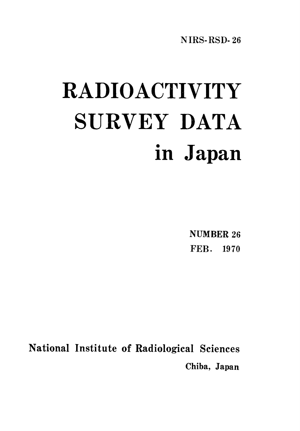**NIRS-RSD-26** 

# RADIOACTIVITY SURVEY DATA in Japan

**NUMBER 26** FEB. 1970

National Institute of Radiological Sciences Chiba, Japan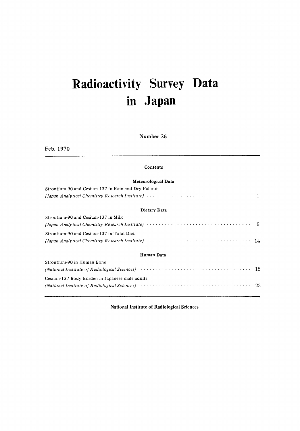### Radioactivity Survey Data in Japan

Number 26

Feb. 1970

## Meteorological Data

Contents

| Strontium-90 and Cesium-137 in Rain and Dry Fallout                                                                                            |  |
|------------------------------------------------------------------------------------------------------------------------------------------------|--|
| (Japan Analytical Chemistry Research Institute) $\cdots \cdots \cdots \cdots \cdots \cdots \cdots \cdots \cdots \cdots \cdots \cdots \qquad 1$ |  |
| Dietary Data                                                                                                                                   |  |
| Strontium-90 and Cesium-137 in Milk                                                                                                            |  |
|                                                                                                                                                |  |
| Strontium-90 and Cesium-137 in Total Diet                                                                                                      |  |

### 

#### Human Data

| Strontium-90 in Human Bone                                                                                                             |  |
|----------------------------------------------------------------------------------------------------------------------------------------|--|
| (National Institute of Radiological Sciences) $\cdots \cdots \cdots \cdots \cdots \cdots \cdots \cdots \cdots \cdots \cdots \cdots 18$ |  |
| Cesium-137 Body Burden in Japanese male adults                                                                                         |  |
| (National Institute of Radiological Sciences) (and the contract of the contract of the contract of Radiological Sciences)              |  |

National Institute of Radiological Sciences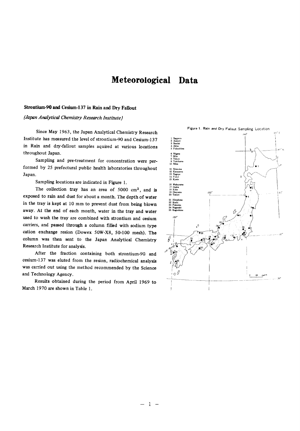#### Meteorological Data

#### Strontium-90 and Cesium-137 in Rain and Dry Fallout

(Japan Analytical Chemistry Research Institute)

Since May 1963, the Japan Analytical Chemistry Research Institute has measured the level of strontium-90 and Cesium-137 in Rain and dry-fallout samples aquired at various locations throughout Japan.

Sampling and pre-treatment for concentration were performed by 25 prefectural public health laboratories throughout Japan.

Sampling locations are indicated in Figure 1.

The collection tray has an area of 5000 cm<sup>2</sup>, and is exposed to rain and dust for about a month. The depth of water in the tray is kept at 10 mm to prevent dust from being blown away. At the end of each month, water in the tray and water used to wash the tray are combined with strontium and cesium carriers, and passed through a column filled with sodium type cation exchange resion (Dowex 50W-X8, 50-100 mesh). The column was then sent to the Japan Analytical Chemistry Research Institute for analysis.

After the fraction containing both strontium-90 and cesium-137 was eluted from the resion, radiochemical analysis was carried out using the method recommended by the Science and Technology Agency.

Results obtained during the period from April 1969 to March 1970 are shown in Table 1.

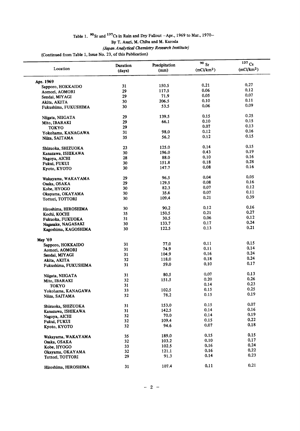## Table 1.  $90$  Sr and  $137$ Cs in Rain and Dry Fallout -Apr., 1969 to Mar., 1970-<br>By T. Asari, M. Chiba and M. Kuroda

(Japan Analytical Chemistry Research Institute)

(Continued from Table 1, Issue No. 23, of this Publication)

| Location             | Duration<br>(days) | Precipitation<br>(mm) | $90S$ r<br>(mCi/km <sup>2</sup> ) | $137$ Cs<br>(mCi/km <sup>2</sup> ) |
|----------------------|--------------------|-----------------------|-----------------------------------|------------------------------------|
| Apr. 1969            |                    |                       |                                   |                                    |
| Sapporo, HOKKAIDO    | 31                 | 150.5                 | 0.21                              | 0.27                               |
|                      | 29                 | 117.5                 | 0.06                              | 0.12                               |
| Aomori, AOMORI       | 29                 | 71.9                  | 0.05                              | 0.07                               |
| Sendai, MIYAGI       | 30                 | 206.5                 | 0.10                              | 0.11                               |
| Akita, AKITA         | 30                 | 53.5                  | 0.06                              | 0.09                               |
| Fukushima, FUKUSHIMA |                    |                       |                                   |                                    |
| Niigata, NIIGATA     | 29                 | 139.5                 | 0.15                              | 0.25                               |
| Mito, IBARAKI        | 29                 | 66.1                  | 0.10                              | 0.15                               |
| <b>TOKYO</b>         | 29                 |                       | 0.07                              | 0.13                               |
| Yokohama, KANAGAWA   | 31                 | 98.0                  | 0.12                              | 0.16                               |
| Niiza, SAITAMA       | 35                 | 56.2                  | 0.12                              | 0.15                               |
|                      |                    |                       | 0.14                              | 0.15                               |
| Shizuoka, SHIZUOKA   | 23                 | 125.0                 |                                   | 0.19                               |
| Kanazawa, ISHIKAWA   | 30                 | 196.0                 | 0.43                              |                                    |
| Nagoya, AICHI        | 28                 | 88.0                  | 0.10                              | 0.16                               |
| Fukui, FUKUI         | 30                 | 151.8                 | 0.18                              | 0.28                               |
| Kyoto, KYOTO         | 30                 | 147.7                 | 0.08                              | 0.16                               |
| Wakayama, WAKAYAMA   | 29                 | 96.5                  | 0.04                              | 0.05                               |
| Osaka, OSAKA         | 29                 | 129.5                 | 0.08                              | 0.16                               |
| Kobe, HYOGO          | 30                 | 82.3                  | 0.07                              | 0.12                               |
| Okayama, OKAYAMA     | 30                 | 35.6                  | 0.07                              | 0.11                               |
| Tottori, TOTTORI     | 30                 | 109.4                 | 0.21                              | 0.39                               |
|                      |                    |                       |                                   | 0.16                               |
| Hiroshima, HIROSHIMA | 30                 | 90.2                  | 0.12<br>0.21                      | 0.27                               |
| Kochi, KOCHI         | 35 <sub>5</sub>    | 150.5                 |                                   | 0.12                               |
| Fukuoka, FUKUOKA     | 31                 | 30.5                  | 0.06                              | 0.24                               |
| Nagasake, NAGASAKI   | 30                 | 133.7                 | 0.17                              |                                    |
| Kagoshima, KAGOSHIMA | 30                 | 122.5                 | 0.13                              | 0.21                               |
| May '69              |                    |                       |                                   |                                    |
| Sapporo, HOKKAIDO    | 31                 | 77.0                  | 0.11                              | 0.15                               |
| Aomori, AOMORI       | 31                 | 74.9                  | 0.11                              | 0.14                               |
| Sendai, MIYAGI       | 31                 | 104.9                 | 0.16                              | 0.24                               |
| Akita, AKITA         | 32                 | 118.0                 | 0.18                              | 0.24                               |
|                      | 31                 | 59.0                  | 0.10                              | 0.17                               |
| Fukushima, FUKUSHIMA |                    |                       |                                   |                                    |
| Niigata, NIIGATA     | 31                 | 80.5                  | 0.07                              | 0.13                               |
| Mito, IBARAKI        | 32                 | 151.5                 | 0.20                              | 0.26                               |
| <b>TOKYO</b>         | 31                 |                       | 0.14                              | 0.23                               |
| Yokohama, KANAGAWA   | 33                 | 102.5                 | 0.15                              | 0.25                               |
| Niiza, SAITAMA       | 32                 | 78.2                  | 0.15                              | 0.19                               |
| Shizuoka, SHIZUOKA   | 31                 | 153.0                 | 0.15                              | 0.07                               |
| Kanazawa, ISHIKAWA   | 31                 | 142.5                 | 0.14                              | 0.16                               |
|                      | 32                 | 70.0                  | 0.14                              | 0.19                               |
| Nagoya, AICHI        | 32                 | 109.4                 | 0.15                              | 0.22                               |
| Fukui, FUKUI         |                    | 94.6                  | 0.07                              | 0.18                               |
| Kyoto, KYOTO         | 32                 |                       |                                   |                                    |
| Wakayama, WAKAYAMA   | 35                 | 189.0                 | 0.15                              | 0.15                               |
| Osaka, OSAKA         | 32                 | 103.2                 | 0.10                              | 0.17                               |
| Kobe, HYOGO          | 33                 | 102.5                 | 0.16                              | 0.24                               |
| Okayama, OKAYAMA     | 32                 | 121.1                 | 0.16                              | 0.22                               |
| Tottori, TOTTORI     | 29                 | 91.3                  | 0.14                              | 0.23                               |
|                      |                    |                       | 0.11                              | 0.21                               |
| Hiroshima, HIROSHIMA | 31                 | 107.4                 |                                   |                                    |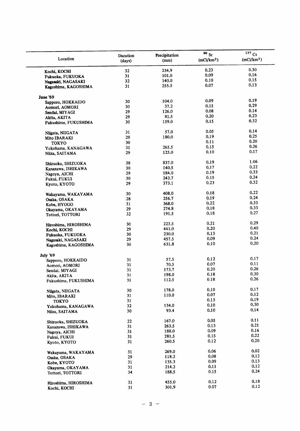| Location                             | Duration<br>(days) | Precipitation<br>(mm) | 90 St<br>(mCi/km <sup>2</sup> ) | $137$ Cs<br>(mCi/km <sup>2</sup> ) |
|--------------------------------------|--------------------|-----------------------|---------------------------------|------------------------------------|
|                                      | 32                 | 234.9                 | 0.23                            | 0.30                               |
| Kochi, KOCHI                         |                    | 101.0                 | 0.09                            | 0.16                               |
| Fukuoka, FUKUOKA                     | 31                 |                       |                                 | 0.15                               |
| Nagasaki, NAGASAKI                   | 32                 | 140.0                 | 0.10                            |                                    |
| Kagoshima, KAGOSHIMA                 | 31                 | 255.5                 | 0.07                            | 0.13                               |
| June '69                             |                    |                       |                                 |                                    |
| Sapporo, HOKKAIDO                    | 30                 | 104.0                 | 0.09                            | 0.19                               |
| Aomori, AOMORI                       | 30                 | 37.2                  | 0.15                            | 0.29                               |
| Sendai, MIYAGI                       | 29                 | 126.0                 | 0.08                            | 0.14                               |
|                                      | 29                 | 81.5                  | 0.20                            | 0.23                               |
| Akita, AKITA<br>Fukushima, FUKUSHIMA | 30                 | 159.0                 | 0.15                            | 0.32                               |
|                                      |                    | 57.0                  | 0.05                            | 0.14                               |
| Niigata, NIIGATA                     | 31                 |                       |                                 | 0.25                               |
| Mito IBARAKI                         | 29                 | 180.0                 | 0.19                            |                                    |
| <b>TOKYO</b>                         | 30                 |                       | 0.11                            | 0.20                               |
| Yokohama, KANAGAWA                   | 31                 | 265.5                 | 0.15                            | 0.26                               |
| Niiza, SAITAMA                       | 29                 | 125.0                 | 0.10                            | 0.17                               |
| Shizuoka, SHIZUOKA                   | 38                 | 837.0                 | 0.19                            | 1.06                               |
| Kanazawa, ISHIKAWA                   | 30                 | 140.5                 | 0.17                            | 0.22                               |
|                                      | 29                 | 184.0                 | 0.19                            | 0.33                               |
| Nagoya, AICHI                        |                    | 243.7                 | 0.15                            | 0.24                               |
| Fukui, FUKUI                         | 30                 |                       |                                 | 0.32                               |
| Kyoto, KYOTO                         | 29                 | 373.1                 | 0.23                            |                                    |
| Wakayama, WAKAYAMA                   | 30                 | 408.0                 | 0.18                            | 0.22                               |
| Osaka, OSAKA                         | 28                 | 256.7                 | 0.19                            | 0.24                               |
| Kobe, HYOGO                          | 31                 | 368.0                 | 0.22                            | 0.33                               |
| Okayama, OKAYAMA                     | 29                 | 274.8                 | 0.18                            | 0.33                               |
| Tottori, TOTTORI                     | 32                 | 191.5                 | 0.18                            | 0.27                               |
| Hiroshima, HIROSHIMA                 | 30                 | 223.5                 | 0.21                            | 0.29                               |
| Kochi, KOCHI                         | 29                 | 441.0                 | 0.20                            | 0.40                               |
| Fukuoka, FUKUOKA                     | 30                 | 230.0                 | 0.13                            | 0.21                               |
| Nagasaki, NAGASAKI                   | 29                 | 457.5                 | 0.09                            | 0.24                               |
| Kagoshima, KAGOSHIMA                 | 30                 | 631.8                 | 0.10                            | 0.20                               |
|                                      |                    |                       |                                 |                                    |
| July '69<br>Sapporo, HOKKAIDO        | 31                 | 57.5                  | 0.12                            | 0.17                               |
|                                      | 31                 | 70.5                  | 0.07                            | 0.11                               |
| Aomori, AOMORI                       | 31                 | 173.7                 | 0.20                            | 0.26                               |
| Sendai, MIYAGI                       |                    | 198.0                 | $0.18\,$                        | 0.30                               |
| Akita, AKITA<br>Fukushima, FUKUSHIMA | 31<br>31           | 112.5                 | 0.18                            | 0.26                               |
|                                      |                    |                       |                                 |                                    |
| Niigata, NIIGATA                     | 30                 | 178.0                 | 0.10                            | 0.17                               |
| Mito, IBARAKI                        | 31                 | 110.0                 | 0.07                            | 0.12                               |
| TOKYO                                | 31                 |                       | 0.13                            | 0.19                               |
| Yokohama, KANAGAWA                   | 32                 | 134.0                 | 0.10                            | 0.30                               |
| Niiza, SAITAMA                       | 30                 | 93.4                  | 0.10                            | 0.14                               |
|                                      | 22                 | 167.0                 | 0.05                            | 0.11                               |
| Shizuoka, SHIZUOKA                   |                    |                       | 0.13                            | 0.21                               |
| Kanazawa, ISHIKAWA                   | 31                 | 263.5                 |                                 |                                    |
| Nagoya, AICHI                        | 31                 | 188.0                 | 0.09                            | 0.16                               |
| Fukui, FUKUI                         | 31                 | 281.5                 | 0.15                            | 0.22                               |
| Kyoto, KYOTO                         | 31                 | 260.5                 | 0.12                            | 0.20                               |
| Wakayama, WAKAYAMA                   | 31                 | 269.0                 | 0.06                            | 0.02                               |
| Osaka, OSAKA                         | 29                 | 118.2                 | 0.08                            | 0.12                               |
| Kobe, KYOTO                          | 31                 | 135.3                 | 0.09                            | 0.13                               |
|                                      | 31                 | 214.2                 | 0.11                            | 0.12                               |
| Okayama, OKAYAMA<br>Tottori, TOTTORI | 34                 | 188.5                 | 0.15                            | 0.24                               |
|                                      |                    |                       |                                 | 0.18                               |
| Hiroshima, HIROSHIMA                 | 31                 | 455.0                 | 0.12                            |                                    |
| Kochi, KOCHI                         | 31                 | 301.9                 | 0.07                            | 0.12                               |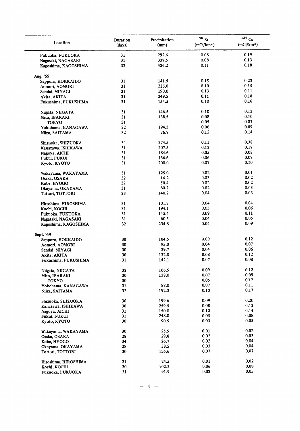| Location                                 | Duration<br>(days) | Precipitation<br>(mm) | 90 Sr<br>(mCi/km <sup>2</sup> ) | $137$ Cs<br>(mCi/km <sup>2</sup> ) |
|------------------------------------------|--------------------|-----------------------|---------------------------------|------------------------------------|
| Fukuoka, FUKUOKA                         | 31                 | 292.6                 | 0.08                            | 0.19                               |
| Nagasaki, NAGASAKI                       | 31                 | 337.5                 | 0.08                            | 0.13                               |
| Kagoshima, KAGOSHIMA                     | 32                 | 436.2                 | 0.11                            | 0.18                               |
| Aug. '69                                 |                    |                       |                                 |                                    |
| Sapporo, HOKKAIDO                        | 31                 | 141.5                 | 0.15                            | 0.23                               |
| Aomori, AOMORI                           | 31                 | 216.0                 | 0.10                            | 0.15                               |
| Sendai, MIYAGI                           | 31                 | 190.0                 | 0.13                            | 0.11                               |
| Akita, AKITA                             | 31                 | 249.5                 | 0.11                            | 0.18                               |
| Fukushima, FUKUSHIMA                     | 31                 | 154.5                 | 0.10                            | 0.16                               |
| Niigata, NIIGATA                         | 31                 | 146.5                 | 0.10                            | 0.13                               |
| Mito, IBARAKI                            | 31                 | 138.5                 | 0.08                            | 0.10                               |
| <b>TOKYO</b>                             | 31                 |                       | 0.05                            | 0.07                               |
| Yokohama, KANAGAWA                       | 32                 | 194.5                 | 0.06                            | 0.09                               |
| Niiza, SAITAMA                           | 32                 | 76.7                  | 0.12                            | 0.14                               |
| Shizuoka, SHIZUOKA                       | 34                 | 374.5                 | 0.11                            | 0.38                               |
| Kanazawa, ISHIKAWA                       | 31                 | 207.5                 | 0.12                            | 0.17                               |
| Nagoya, AICHI                            | 31                 | 184.6                 | 0.05                            | 0.08                               |
| Fukui, FUKUI                             | 31                 | 136.6                 | 0.06                            | 0.07                               |
| Kyoto, KYOTO                             | 31                 | 200.0                 | 0.07                            | 0.10                               |
| Wakayama, WAKAYAMA                       | 31                 | 125.0                 | 0.02                            | 0.01                               |
| Osaka, OSAKA                             | 32                 | 14.2                  | 0.03                            | 0.02                               |
| Kobe, HYOGO                              | 32                 | 50.4                  | 0.02                            | 0.02                               |
| Okayama, OKAYAMA                         | 31                 | 80.2                  | 0.02                            | 0.03                               |
| Tottori, TOTTORI                         | 28                 | 140.2                 | 0.04                            | 0.03                               |
| Hiroshima, HIROSHIMA                     | 31                 | 101.7                 | 0.04                            | 0.04                               |
| Kochi, KOCHI                             | 31                 | 194.1                 | 0.05                            | 0.06                               |
| Fukuoka, FUKUOKA                         | 31                 | 145.4                 | 0.09                            | 0.11                               |
| Nagasaki, NAGASAKI                       | 31                 | 60.5                  | 0.04                            | 0.05                               |
| Kagoshima, KAGOSHIMA                     | 32                 | 234.8                 | 0.04                            | 0.09                               |
| Sept. '69                                |                    |                       |                                 |                                    |
| Sapporo, HOKKAIDO                        | 30                 | 104.5                 | 0.09                            | 0.12                               |
| Aomori, AOMORI                           | 30                 | 95.0                  | 0.04                            | 0.07                               |
| Sendai, MIYAGI                           | 30                 | 39.7                  | 0.04                            | 0.06                               |
| Akita, AKITA                             | 30                 | 132.0                 | 0.08                            | 0.12                               |
| Fukushima, FUKUSHIMA                     | 31                 | 142.1                 | 0.07                            | 0.08                               |
|                                          | 32                 | 166.5                 | 0.09                            | 0.12                               |
| Niigata, NIIGATA<br>Mito, IBARAKI        | 30                 | 138.0                 | 0.07                            | 0.09                               |
| <b>TOKYO</b>                             | 30                 |                       | 0.05                            | 0.12                               |
| Yokohama, KANAGAWA                       | 31                 | 88.0                  | 0.07                            | 0.11                               |
| Niiza, SAITAMA                           | 32                 | 192.3                 | 0.10                            | 0.17                               |
|                                          | 36                 | 199.6                 | 0.09                            | 0.20                               |
| Shizuoka, SHIZUOKA<br>Kanazawa, ISHIKAWA | 30                 | 259.5                 | 0.08                            | 0.12                               |
|                                          | 31                 | 150.0                 | 0.10                            | 0.14                               |
| Nagoya, AICHI                            | 31                 | 248.0                 | 0.05                            | 0.08                               |
| Fukui, FUKUI<br>Kyoto, KYOTO             | 30                 | 90.5                  | 0.03                            | 0.05                               |
|                                          | 30                 | 25.5                  | 0.01                            | 0.02                               |
| Wakayama, WAKAYAMA                       | 28                 | 29.8                  | 0.02                            | 0.03                               |
| Osaka, OSAKA                             | 34                 | 26.7                  | 0.02                            | 0.04                               |
| Kobe, HYOGO                              | 28                 | 38.5                  | 0.03                            | 0.04                               |
| Okayama, OKAYAMA<br>Tottori, TOTTORI     | 30                 | 135.6                 | 0.07                            | 0.07                               |
|                                          |                    |                       |                                 | 0.02                               |
| Hiroshima, HIROSHIMA                     | 31                 | 24.5                  | 0.01                            | 0.08                               |
| Kochi, KOCHI                             | 30                 | 102.3                 | 0.06                            |                                    |
| Fukuoka, FUKUOKA                         | 31                 | 91.9                  | 0.03                            | 0.05                               |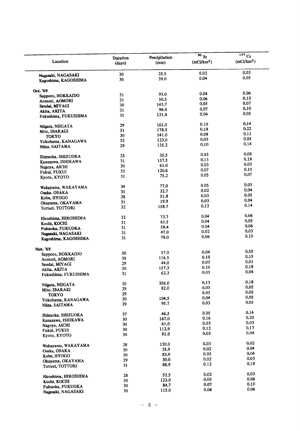|                                            |                    |                       | $\overline{90}$ Sr     | $137$ Cs               |
|--------------------------------------------|--------------------|-----------------------|------------------------|------------------------|
| Location                                   | Duration<br>(days) | Precipitation<br>(mm) | (mCi/km <sup>2</sup> ) | (mCi/km <sup>2</sup> ) |
|                                            | 30                 | 25.5                  | 0.02                   | 0.03                   |
| Nagasaki, NAGASAKI<br>Kagoshima, KAGOSHIMA | 30                 | 39.0                  | 0.04                   | 0.05                   |
|                                            |                    |                       |                        |                        |
| Oct. '69                                   |                    | 93,0                  | 0.04                   | 0.06                   |
| Sapporo, HOKKAIDO                          | 31                 | 50.5                  | 0.06                   | 0.10                   |
| Aomori, AOMORI                             | 31                 |                       | 0.05                   | .0.07                  |
| Sendai, MIYAGI                             | 30                 | 143.7                 | 0.07                   | 0.10                   |
| Akita, AKITA                               | 31                 | 96.4                  |                        | 0.05                   |
| Fukushima, FUKUSHIMA                       | 31                 | 121.8                 | 0.04                   |                        |
| Niigata, NIIGATA                           | 29                 | 161.5                 | 0.10                   | 0.14                   |
| Mito, IBARAGI                              | 31                 | 178.5                 | 0.18                   | 0.22                   |
| TOKYO                                      | 30                 | 141.0                 | 0.08                   | 0.11                   |
|                                            | 32                 | 123.0                 | 0.03                   | 0.05                   |
| Yokohama, KANAGAWA                         | 28                 | 135.2                 | 0.10                   | 0.14                   |
| Niiza, SAITAMA                             |                    |                       |                        |                        |
| Shizuoka, SHIZUOKA                         | 25                 | 35.5                  | 0.03                   | 0.08                   |
| Kanazawa, ISHIKAWA                         | 31                 | 157.5                 | 0.13                   | 0.18                   |
| Nagoya, AICHI                              | 30                 | 61.0                  | 0.03                   | 0.03                   |
| Fukui, FUKUI                               | 32                 | 120.6                 | 0.07                   | 0.10                   |
| Kyoto, KYOTO                               | 31                 | 75.2                  | 0.05                   | 0.07                   |
|                                            |                    | 77.0                  | 0.05                   | 0.03                   |
| Wakayama, WAKAYAMA                         | 34                 | 32.7                  | 0.02                   | 0.04                   |
| Osaka, OSAKA                               | 31                 |                       | 0.03                   | 0.05                   |
| Kobe, HYOGO                                | 28                 | 51.8                  | 0.03                   | 0.04                   |
| Okayama, OKAYAMA                           | 31                 | 19.9                  |                        | 0.14                   |
| Tottori, TOTTORI                           | 32                 | 158.7                 | 0.12                   |                        |
| Hiroshima, HIROSHIMA                       | 32                 | 73.7                  | 0.04                   | 0.06                   |
|                                            | 31                 | 61.5                  | 0.04                   | 0.05                   |
| Kochi, KOCHI                               | 31                 | 58.4                  | 0.04                   | 0.06                   |
| Fukuoka, FUKUOKA                           | 31                 | 47.0                  | 0.02                   | 0.03                   |
| Nagasaki, NAGASAKI<br>Kagoshima, KAGOSHIMA | 31                 | 78.0                  | 0.06                   | 0.10                   |
|                                            |                    |                       |                        |                        |
| Nov. '69                                   |                    |                       | 0.04                   | 0.05                   |
| Sapporo, HOKKAIDO                          | 30                 | 57.0                  | 0.10                   | 0.15                   |
| Aomori, AOMORI                             | 30                 | 116.5                 |                        | 0.01                   |
| Sendai, MIYAGI                             | 29                 | 44.0                  | 0.03                   | 0.18                   |
| Akita, AKITA                               | 30                 | 157.3                 | 0.10                   |                        |
| Fukushima, FUKUSHIMA                       | 31                 | 62.3                  | 0.03                   | 0.04                   |
|                                            | 30                 | 356.0                 | 0.13                   | 0.18                   |
| Niigata, NIIGATA                           | 29                 | 82.0                  | 0.03                   | 0.05                   |
| Mito, IBARAKI                              | 29                 |                       | 0.03                   | 0.05                   |
| <b>TOKYO</b>                               | 30                 | 104.5                 | 0.04                   | 0.05                   |
| Yokohama, KANAGAWA<br>Niiza, SAITAMA       | 29                 | 95.7                  | 0.03                   | 0.05                   |
|                                            |                    |                       |                        |                        |
| Shizuoka, SHIZUOKA                         | 37                 | 46.5                  | 0.05                   | 0.14                   |
| Kanazawa, ISHIKAWA                         | 30                 | 167.0                 | 0.16                   | 0.20                   |
| Nagoya, AICHI                              | 30                 | 61.0                  | 0.03                   | 0.03                   |
| Fukui, FUKUI                               | 30                 | 112.9                 | 0.12                   | 0.17                   |
| Kyoto, KYOTO                               | 30                 | 81.0                  | 0.03                   | 0.04                   |
|                                            | 28                 | 130.0                 | 0.03                   | 0.02                   |
| Wakayama, WAKAYAMA                         |                    | 35.9                  | 0.02                   | 0.04                   |
| Osaka, OSAKA                               | 30                 |                       | 0.03                   | 0.04                   |
| Kobe, HYOGO                                | 30                 | 83.9                  | 0.02                   | 0.03                   |
| Okayama, OKAYAMA                           | 29                 | 30.0                  |                        | 0.18                   |
| Tottori, TOTTORI                           | 31                 | 88.9                  | 0.12                   |                        |
| Hiroshima, HIROSHIMA                       | 28                 | 52.5                  | 0.02                   | 0.03                   |
| Kochi, KOCHI                               | 30                 | 123.0                 | 0.05                   | 0.06                   |
|                                            | 30                 | 84.7                  | 0.07                   | 0.10                   |
| Fukuoka, FUKUOKA                           | 30                 | 115.0                 | 0.04                   | 0.06                   |
| Nagasaki, NAGASAKI                         |                    |                       |                        |                        |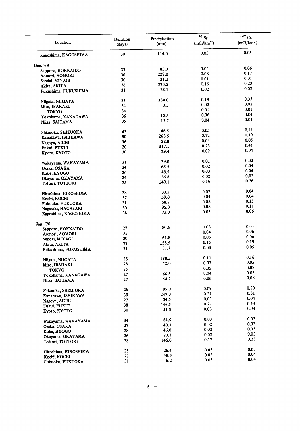| Location                             | Duration<br>(days) | Precipitation<br>(mm) | $90\,$ Sr<br>(mCi/km <sup>2</sup> ) | $137$ Cs<br>(mCi/km <sup>2</sup> ) |
|--------------------------------------|--------------------|-----------------------|-------------------------------------|------------------------------------|
| Kagoshima, KAGOSHIMA                 | 30                 | 114.0                 | 0.03                                | 0.05                               |
| Dec. '69                             |                    |                       |                                     |                                    |
| Sapporo, HOKKAIDO                    | 33                 | 83.0                  | 0.04                                | 0.06                               |
| Aomori, AOMORI                       | 30                 | 229.0                 | 0.08                                | 0.17                               |
| Sendai, MIYAGI                       | 30                 | 31.2                  | 0.01                                | 0.01                               |
|                                      | 26                 | 220.5                 | 0.16                                | 0.23                               |
| Akita, AKITA<br>Fukushima, FUKUSHIMA | 31                 | 28.1                  | 0.02                                | 0.02                               |
|                                      |                    | 330.0                 | 0.19                                | 0.33                               |
| Niigata, NIIGATA                     | 35                 | 3,5                   | 0.02                                | 0.02                               |
| Mito, IBARAKI                        | 34                 |                       | 0.01                                | 0.01                               |
| <b>TOKYO</b>                         | 34                 |                       |                                     | 0.04                               |
| Yokohama, KANAGAWA                   | 36                 | 18.5                  | 0.06                                |                                    |
| Niiza, SAITAMA                       | 35                 | 13.7                  | 0.04                                | 0.01                               |
| Shizuoka, SHIZUOKA                   | 37                 | 46.5                  | 0.05                                | 0.14                               |
| Kanazawa, ISHIKAWA                   | 30                 | 263.5                 | 0.12                                | 0.19                               |
| Nagoya, AICHI                        | 36                 | 52.8                  | 0.04                                | 0.05                               |
|                                      | 26                 | 317.1                 | 0.23                                | 0.41                               |
| Fukui, FUKUI<br>Kyoto, KYOTO         | 30                 | 29.4                  | 0.02                                | 0.04                               |
|                                      |                    |                       |                                     |                                    |
| Wakayama, WAKAYAMA                   | 31                 | 39.0                  | 0.01                                | 0.02                               |
| Osaka, OSAKA                         | 34                 | 65.5                  | 0.02                                | 0.04                               |
| Kobe, HYOGO                          | 36                 | 48.5                  | 0.03                                | 0.04                               |
| Okayama, OKAYAMA                     | 34                 | 36.8                  | 0.02                                | 0.03                               |
| Tottori, TOTTORI                     | 35                 | 149.1                 | 0.16                                | 0.26                               |
|                                      | 38                 | 33.5                  | 0.02                                | 0.04                               |
| Hiroshima, HIROSHIMA                 |                    | 59.0                  | 0.04                                | 0.04                               |
| Kochi, KOCHI                         | 37                 |                       | 0.08                                | 0.15                               |
| Fukuoka, FUKUOKA                     | 31                 | 68.7                  | 0.08                                | 0.11                               |
| Nagasaki, NAGASAKI                   | 30                 | 95.0                  |                                     | 0.06                               |
| Kagoshima, KAGOSHIMA                 | 36                 | 73.0                  | 0.05                                |                                    |
| Jan. '70                             |                    |                       |                                     |                                    |
| Sapporo, HOKKAIDO                    | 27                 | 80.5                  | 0.03                                | 0.04                               |
| Aomori, AOMORI                       | 31                 |                       | 0.04                                | 0.06                               |
| Sendai, MIYAGI                       | 30                 | 51.8                  | 0.06                                | 0.06                               |
| Akita, AKITA                         | 27                 | 158.5                 | 0.15                                | 0.19                               |
| Fukushima, FUKUSHIMA                 | 31                 | 37.7                  | 0.03                                | 0.05                               |
|                                      | 26                 | 188.5                 | 0.11                                | 0.16                               |
| Niigata, NIIGATA                     |                    |                       | 0.03                                | 0.05                               |
| Mito, IBARAKI                        | 28                 | 52.0                  | 0.05                                | 0.08                               |
| <b>TOKYO</b>                         | 25                 |                       | 0.04                                | 0.05                               |
| Yokohama, KANAGAWA                   | $\bf{27}$          | 66.5<br>54.2          | 0.06                                | 0.08                               |
| Niiza, SAITAMA                       | 27                 |                       |                                     |                                    |
| Shizuoka, SHIZUOKA                   | 26                 | 95.0                  | 0.09                                | 0.20                               |
| Kanazawa, ISHIKAWA                   | 30                 | 247.0                 | 0.21                                | 0.31                               |
| Nagoya, AICHI                        | 27                 | 34.5                  | 0.03                                | 0.04                               |
| Fukui, FUKUI                         | 38                 | 446.5                 | 0.27                                | 0.44                               |
|                                      | 30                 | 51,3                  | 0.03                                | 0.04                               |
| Kyoto, KYOTO                         |                    |                       |                                     |                                    |
| Wakayama, WAKAYAMA                   | 34                 | 84.5                  | 0.03                                | 0.03<br>0.03                       |
| Osaka, OSAKA                         | 27                 | 40.3                  | 0.02                                |                                    |
| Kobe, HYOGO                          | 28                 | 46.0                  | 0.02                                | 0.03                               |
| Okayama, OKAYAMA                     | 26                 | 20.3                  | 0.02                                | 0.03                               |
| Tottori, TOTTORI                     | 28                 | 146.0                 | 0.17                                | 0.23                               |
| Hiroshima, HIROSHIMA                 | 25                 | 26.4                  | 0.02                                | 0.03                               |
|                                      | 27                 | 48.3                  | 0.02                                | 0.04                               |
| Kochi, KOCHI<br>Fukuoka, FUKUOKA     | 31                 | 6.2                   | 0.03                                | 0.04                               |
|                                      |                    |                       |                                     |                                    |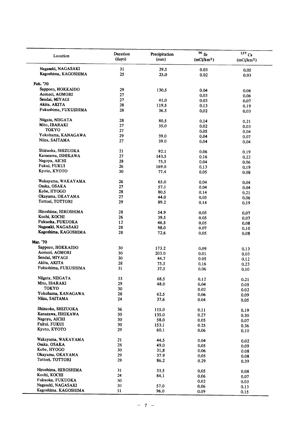| Location                           | Duration | Precipitation | 90Sr                   | 137 Cs                 |
|------------------------------------|----------|---------------|------------------------|------------------------|
|                                    | (days)   | (mm)          | (mCi/km <sup>2</sup> ) | (mCi/km <sup>2</sup> ) |
| Nagasaki, NAGASAKI                 | 31       | 29.5          | 0.03                   | 0.05                   |
| Kagoshima, KAGOSHIMA               | 25       | 25.0          | 0.02                   | 0.03                   |
| Feb. '70                           |          |               |                        |                        |
| Sapporo, HOKKAIDO                  | 29       | 130.5         |                        |                        |
| Aomori, AOMORI                     | 27       |               | 0.04                   | 0.06                   |
| Sendai, MIYAGI                     | 27       |               | 0.03                   | 0.06                   |
| Akita, AKITA                       |          | 41.0          | 0.03                   | 0.07                   |
|                                    | 28       | 119.5         | 0.13                   | 0.19                   |
| Fukushima, FUKUSHIMA               | 28       | 36.5          | 0.02                   | 0.03                   |
| Niigata, NIIGATA                   | 28       | 80.5          | 0.14                   | 0.21                   |
| Mito, IBARAKI                      | 27       | 35.0          | 0.02                   | 0.03                   |
| <b>TOKYO</b>                       | 27       |               | 0.05                   | 0.04                   |
| Yokohama, KANAGAWA                 | 29       | 39.0          | 0.04                   | 0.07                   |
| Niiza, SAITAMA                     | 27       | 39.0          | 0.04                   | 0.04                   |
| Shizuoka, SHIZUOKA                 | 21       | 92.1          | 0.06                   | 0.19                   |
| Kanazawa, ISHIKAWA                 | 27       | 143.5         | 0.16                   |                        |
| Nagoya, AICHI                      | 28       | 75.5          | 0.04                   | 0.22                   |
| Fukui, FUKUI                       | 26       | 169.0         |                        | 0.06                   |
| Kyoto, KYOTO                       | 30       |               | 0.13                   | 0.19                   |
|                                    |          | 77.4          | 0.05                   | 0.08                   |
| Wakayama, WAKAYAMA                 | 26       | 65.0          | 0.04                   | 0.04                   |
| Osaka, OSAKA                       | 27       | 57.1          | 0.04                   | 0.04                   |
| Kobe, HYOGO                        | 28       | 80.5          | 0.14                   | 0.21                   |
| Okayama, OKAYAMA                   | 27       | 44.0          | 0.05                   | 0.06                   |
| Tottori, TOTTORI                   | 29       | 89.2          | 0.14                   | 0.19                   |
| Hiroshima, HIROSHIMA               | 28       | 54.9          | 0.05                   | 0.07                   |
| Kochi, KOCHI                       | 26       | 39.5          | 0.05                   |                        |
| Fukuoka, FUKUOKA                   | 12       | 46.5          |                        | 0.07                   |
| Nagasaki, NAGASAKI                 | 28       |               | 0.05                   | 0.08                   |
| Kagoshima, KAGOSHIMA               | 28       | 88.0<br>72.6  | 0.07<br>0.05           | 0.10<br>0.08           |
| Mar. '70                           |          |               |                        |                        |
| Sapporo, HOKKAIDO                  | 30       | 173.2         | 0.09                   | 0.13                   |
| Aomori, AOMORI                     | 30       | 203.0         | 0.01                   |                        |
| Sendai, MIYAGI                     | 30       | 44.7          |                        | 0.03                   |
| Akita, AKITA                       | 28       |               | 0.05                   | 0.12                   |
| Fukushima, FUKUSHIMA               | 31       | 75.5<br>37.5  | 0.16<br>0.06           | 0.23<br>0.10           |
|                                    |          |               |                        |                        |
| Niigata, NIIGATA                   | 33       | 68.5          | 0.12                   | 0.21                   |
| Mito, IBARAKI                      | 29       | 48.0          | 0.04                   | 0.05                   |
| <b>TOKYO</b>                       | 30       |               | 0.02                   | 0.02                   |
| Yokohama, KANAGAWA                 | 28       | 62.5          | 0.06                   | 0.09                   |
| Niiza, SAITAMA                     | 24       | 37.6          | 0.04                   | 0.05                   |
| Shizuoka, SHIZUOKA                 | 36       | 115.0         | 0.11                   | 0.19                   |
| Kanazawa, ISHIKAWA                 | 30       | 135.0         | 0.27                   | 0.30                   |
| Nagoya, AICHI                      | 30       | 58.0          | 0.05                   |                        |
| Fukui, FUKUI                       | 30       | 153.1         | 0.25                   | 0.07                   |
| Kyoto, KYOTO                       | 29       | 60.1          | 0.06                   | 0.36<br>0.10           |
|                                    |          |               |                        |                        |
| Wakayama, WAKAYAMA<br>Osaka, OSAKA | 21<br>28 | 44.5<br>49.0  | 0.04<br>0.05           | 0.02                   |
| Kobe, HYOGO                        | 30       |               |                        | 0.09                   |
| Okayama, OKAYAMA                   | 29       | 31,8          | 0.06                   | 0.08                   |
| Tottori, TOTTORI                   | 28       | 37.9<br>86.2  | 0.05<br>0.29           | 0.08<br>0.39           |
|                                    |          |               |                        |                        |
| Hiroshima, HIROSHIMA               | 31       | 33.5          | 0.05                   | 0.08                   |
| Kochi, KOCHI                       | 24       | 84.1          | 0.06                   | 0.07                   |
| Fukuoka, FUKUOKA                   | 30       |               | 0.02                   | 0.03                   |
| Nagasaki, NAGASAKI                 | 30       | 57.0          | 0.06                   | 0.13                   |
| Kagoshima, KAGOSHIMA               | 31       | 96.0          | 0.09                   | 0.15                   |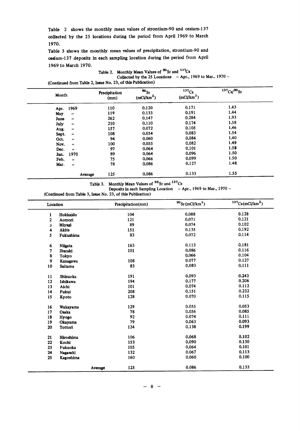Table 2 shows the monthly mean values of strontium-90 and cesium-137 collected by the 25 locations during the period from April 1969 to March 1970.

Table 3 shows the monthly mean values of precipitation, strontium-90 and cesium-137 deposits in each sampling location during the period from April 1969 to March 1970.

Table 2. Monthly Mean Values of <sup>90</sup>Sr and <sup>137</sup>Cs Collected by the 25 Locations  $-Apr.$ , 1969 to Mar., 1970 -(Continued from Table 2, Issue No. 23, of this Publication)

| Month                      | Precipitation<br>(mm) | 90 <sub>St</sub><br>(mCi/km <sup>2</sup> ) | 137Cs<br>(mCi/km <sup>2</sup> ) | $137Cs/90$ Sr |
|----------------------------|-----------------------|--------------------------------------------|---------------------------------|---------------|
| 1969<br>Apr.               | 110                   | 0.120                                      | 0.171                           | 1.43          |
| May<br>$\bullet\bullet$    | 119                   | 0.133                                      | 0.191                           | 1.44          |
| June<br>$\pmb{\cdot}$      | 262                   | 0.147                                      | 0.284                           | 1.93          |
| July<br>$\bullet\bullet$   | 210                   | 0.110                                      | 0.174                           | 1.58          |
| Aug.<br>$\bullet$          | 157                   | 0.072                                      | 0.105                           | 1.46          |
| Sept.<br>$\pmb{\cdots}$    | 108                   | 0.054                                      | 0.083                           | 1.54          |
| Oct.<br>$\bullet\bullet$   | 94                    | 0.060                                      | 0.084                           | 1.40          |
| Nov.<br>$\bullet$          | 100                   | 0.055                                      | 0.082                           | 1.49          |
| Dec.<br>$\boldsymbol{\mu}$ | 97                    | 0.064                                      | 0.101                           | 1.58          |
| 1970<br>Jan.               | 89                    | 0.064                                      | 0.096                           | 1.50          |
| Feb.<br>$\boldsymbol{\mu}$ | 75                    | 0.066                                      | 0.099                           | 1.50          |
| Mar.<br>$\bullet\bullet$   | 78                    | 0.086                                      | 0.127                           | 1.48          |
| Average                    | 125                   | 0.086                                      | 0.133                           | 1.55          |

Table 3. Monthly Mean Values of <sup>90</sup>Sr and <sup>137</sup>Cs

Deposits in each Sampling Location - Apr., 1969 to Mar., 1970 -

(Continued from Table 3, Issue No. 23, of this Publication)

| Location |           | Precipitation(mm) | $^{90}$ Sr(mCi/km <sup>2</sup> ) | $137$ Cs(mCi/km <sup>2</sup> ) |
|----------|-----------|-------------------|----------------------------------|--------------------------------|
| 1        | Hokkaido  | 104               | 0.088                            | 0.128                          |
| 2        | Aomori    | 121               | 0.071                            | 0.121                          |
| 3        | Miyagi    | 89                | 0.074                            | 0.102                          |
| 4        | Akita     | 151               | 0.135                            | 0.192                          |
| 5        | Fukushima | 83                | 0.072                            | 0.114                          |
| 6        | Niigata   | 163               | 0.113                            | 0.181                          |
| 7        | Ibaraki   | 101               | 0.086                            | 0.116                          |
| 8        | Tokyo     |                   | 0.066                            | 0.104                          |
| 9        | Kanagawa  | 108               | 0.077                            | 0.127                          |
| 10       | Saitama   | 83                | 0.083                            | 0.111                          |
| 11       | Shizuoka  | 191               | 0.093                            | 0.243                          |
| 12       | Ishikawa  | 194               | 0.177                            | 0.206                          |
| 13       | Aichi     | 101               | 0.074                            | 0.112                          |
| 14       | Fukui     | 208               | 0.151                            | 0.232                          |
| 15       | Kyoto     | 128               | 0.070                            | 0.115                          |
| 16       | Wakayama  | 129               | 0.055                            | 0.053                          |
| 17       | Osaka     | 78                | 0.056                            | 0.085                          |
| 18       | Hyogo     | 92                | 0.074                            | 0.111                          |
| 19       | Okayama   | 79                | 0.063                            | 0.093                          |
| 20       | Tottori   | 124               | 0.138                            | 0.199                          |
| 21       | Hiroshima | 106               | 0.068                            | 0.102                          |
| 22       | Kochi     | 153               | 0.090                            | 0.130                          |
| 23       | Fukuoka   | 105               | 0.064                            | 0.101                          |
| 24       | Nagasaki  | 132               | 0.067                            | 0.113                          |
| 25       | Kagoshima | 160               | 0.060                            | 0.100                          |
|          |           | 125<br>Average    | 0.086                            | 0.133                          |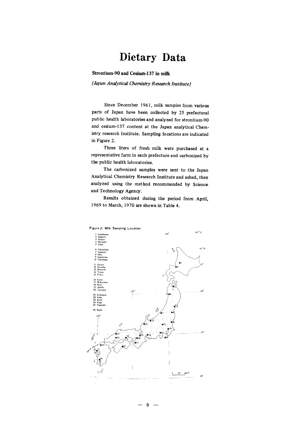### Dietary Data

#### Strontium-90 and Cesium-137 in milk

(Japan Analytical Chemistry Research Institute)

Since December 1961, milk samples from various parts of Japan have been collected by 25 prefectural public health laboratories and analyzed for strontium-90 and cesium-137 content at the Japan analytical Chemistry research Institute. Sampling locations are indicated in Figure 2.

Three liters of fresh milk were purchased at a representative farm in each prefecture and carbonized by the public health laboratories.

The carbonized samples were sent to the Japan Analytical Chemistry Research Institute and ashed, then analyzed using the method recommended by Science and Technology Agency.

Results obtained during the period from April, 1969 to March, 1970 are shown in Table 4.



9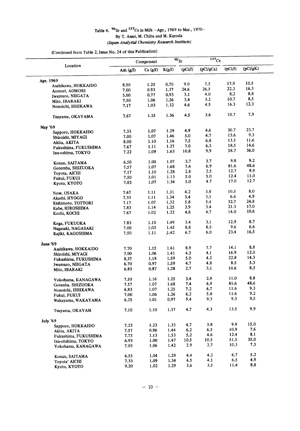### Table 4.  $^{90}$ Sr and  $^{137}$ Cs in Milk -Apr., 1969 to Mar., 1970-<br>By T. Asari, M. Chiba and M. Kuroda (Japan Analytial Chemistry Research Institute)

(Continued from Table 2, Issue No. 24 of this Publication)

| Location             |             | Component  |        | $\overline{90}_{Sr}$ | $\overline{137}$ Cs |         |          |  |
|----------------------|-------------|------------|--------|----------------------|---------------------|---------|----------|--|
|                      | Ash $(g/l)$ | Ca $(g/l)$ | K(g/l) | (pCi/l)              | (pCi/gCa)           | (pCi/l) | (pCi/gK) |  |
| Apr. 1969            |             |            |        |                      |                     |         |          |  |
| Asahikawa, HOKKAIDO  | 8.50        | 1.20       | 0.70   | 9.0                  | 7.5                 | 17.9    | 10.5     |  |
| Aomori, AOMORI       | 7.00        | 0.93       | 1.37   | 24.6                 | 26.5                | 22.3    | 16.3     |  |
| Iwamuro, NIIGATA     | 5.00        | 0.77       | 0.93   | 3.1                  | 4.0                 | 8.2     | 8.8      |  |
| Mito, IBARAKI        | 7.50        | 1.06       | 1.26   | 3.4                  | 3.2                 | 10.7    | 8.5      |  |
| Nonoichi, ISHIKAWA   | 7.17        | 1.03       | 1.32   | 4.6                  | 4.5                 | 16.3    | 12.3     |  |
| Tsuyama, OKAYAMA     | 7.67        | 1.25       | 1.36   | 4.5                  | 3.6                 | 10.7    | 7.9      |  |
| May '69              |             |            |        |                      |                     |         |          |  |
| Sapporo, HOKKAIDO    | 7.33        | 1.07       | 1.29   | 4.9                  | 4,6                 | 30.7    | 23.7     |  |
| Shiroishi, MIYAGI    | 7.00        | 1.07       | 1.46   | 5.0                  | 4.7                 | 13.6    | 9.3      |  |
| Akita, AKITA         | 8.00        | 1.10       | 1.16   | 7.5                  | 6.8                 | 13.5    | 11.6     |  |
| Fukushima, FUKUSHIMA | 7.67        | 1.11       | 1.27   | 7.0                  | 6.3                 | 18.5    | 14.6     |  |
| Izu-oshima, TOKYO    | 7.22        | 1.09       | 1.63   | 10.8                 | 9.9                 | 58.7    | 36.0     |  |
| Konan, SAITAMA       | 6.50        | 1.00       | 1.07   | 3.7                  | 3.7                 | 9.8     | 9.2      |  |
| Gotemba, SHIZUOKA    | 7.57        | 1.07       | 1.68   | 7.4                  | 6.9                 | 81.6    | 48.6     |  |
| Toyota, AICHI        | 7.17        | 1.10       | 1.28   | 2.8                  | 2.5                 | 12.7    | 9.9      |  |
| Fukui, FUKUI         | 7.50        | 1.01       | 1.13   | 5.0                  | 5.0                 | 12.4    | 11.0     |  |
| Kyoto, KYOTO         | 7.83        | 1.07       | 1.34   | 5.0                  | 4.7                 | 17.0    | 12.7     |  |
| Nose, OSAKA          | 7.67        | 1.11       | 1.31   | 4.2                  | 3.8                 | 10.5    | 8,0      |  |
| Akashi, HYOGO        | 7.33        | 1.11       | 1.34   | 3,4                  | 3.1                 | 6.6     | 4.9      |  |
| Kishimoto, TOTTORI   | 7.17        | 1.07       | 1.32   | 5.8                  | 5.4                 | 32.7    | 24.8     |  |
| Kabe, HIROSHIMA      | 7.83        | 1.14       | 1.25   | 3.9                  | 3.4                 | 21.3    | 17.0     |  |
| Kochi, KOCHI         | 7.67        | 1.02       | 1.32   | 4.8                  | 4.7                 | 14.0    | 10.6     |  |
| Koga, FUKUOKA        | 7.83        | 1.10       | 1.49   | 3.4                  | 3.1                 | 12.9    | 8.7      |  |
| Nagasaki, NAGASAKI   | 7.00        | 1.03       | 1.45   | 8.8                  | 8.5                 | 9.6     | 6.6      |  |
| Kajiki, KAGOSHIMA    | 7.50        | 1.11       | 1.42   | 6.7                  | 6.0                 | 23.4    | 16.5     |  |
| June '69             |             |            |        |                      |                     |         |          |  |
| Asahikawa, HOKKAIDO  | 7.70        | 1.15       | 1.61   | 8.9                  | 7.7                 | 14.1    | 8.8      |  |
| Shiroishi, MIYAGI    | 7.00        | 1.06       | 1.41   | 4.3                  | 4.1                 | 16.9    | 12.0     |  |
| Fukushima, FUKUSHIMA | 8,37        | 1.18       | 1.59   | 5.0                  | 4.2                 | 22.8    | 14.3     |  |
| Iwamuro, NIIGATA     | 6.70        | 0.97       | 1.59   | 4.7                  | 4.8                 | 8.5     | 5.3      |  |
| Mito, IBARAKI        | 6.83        | 0.87       | 1.28   | 2.7                  | 3.1                 | 10.6    | 8.3      |  |
| Yokohama, KANAGAWA   | 7.50        | 1.16       | 1.25   | 3.4                  | 2.9                 | 11.0    | 8.8      |  |
| Gotenba. SHIZUOKA    | 7.57        | 1.07       | 1.68   | 7.4                  | 6.9                 | 81.6    | 48.6     |  |
| Nonoichi, ISHIKAWA   | 6.83        | 1.07       | 1.25   | 7.2                  | 6.7                 | 11.6    | 9.3      |  |
| Fukui, FUKUI         | 7.00        | 1.06       | 1.26   | 6.2                  | 5.8                 | 11.6    | 9.2      |  |
| Wakayama, WAKAYAMA   | 6.25        | 1.01       | 0.97   | 9.4                  | 9.3                 | 9.3     | 9.5      |  |
| Tsuvama, OKAYAM      | 7.10        | 1.10       | 1.37   | 4.7                  | 4.3                 | 13.5    | 9.9      |  |
| July '69             |             |            |        |                      |                     |         |          |  |
| Sapporo, HOKKAIDO    | 7.23        | 1.23       | 1.33   | 4.7                  | 3.8                 | 9,9     | 15.0     |  |
| Akita, AKITA         | 7.57        | 0.96       | 1.44   | 6.2                  | 6.5                 | 10.9    | 7.6      |  |
| Fukushima, FUKUSHIMA | 7.73        | 1.13       | 1.53   | 5.2                  | 4.6                 | 12.4    | 8.1      |  |
| Izu-ohshima, TOKYO   | 6.93        | 1.00       | 1.47   | 10.5                 | 10.5                | 51.5    | 35.0     |  |
| Yokohama, KANAGAWA   | 7.03        | 1.06       | 1.42   | 2.9                  | 2.7                 | 10.3    | 7.3      |  |
| Konan, SAITAMA       | 6.55        | 1.04       | 1.29   | 4.4                  | 4.2                 | 6.7     | 5.2      |  |
| Toyota' AICHI        | 7.33        | 1.09       | 1.34   | 4.5                  | 4.1                 | 6.5     | 4.9      |  |
| Kyoto, KYOTO         | 9.20        | 1.02       | 1.29   | 3.6                  | 3.5                 | 11.4    | 8.8      |  |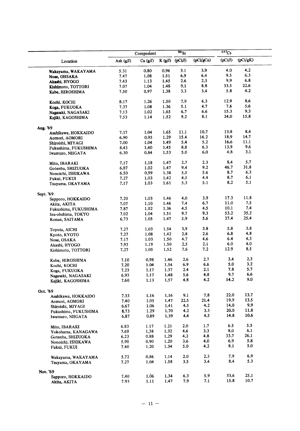|                                        |              | Component    |      | $\overline{\text{90}}_{\text{Sr}}$ |           | 137Cs   |          |  |
|----------------------------------------|--------------|--------------|------|------------------------------------|-----------|---------|----------|--|
| Location                               | Ash $(g/l)$  | Ca $(g/l)$   |      | K $(g/l)$ $(pCi/l)$                | (pCi/gCa) | (pCi/l) | (pCi/gK) |  |
| Wakayama, WAKAYAMA                     | 5.31         | 0.80         | 0.96 | 3.1                                | 3,9       | 4.0     | 4,2      |  |
| Nose, OHSAKA                           | 7.47         | 1.08         | 1.51 | 6.9                                | 6.4       | 9.5     | 6.3      |  |
| Akashi, HYOGO                          | 7.43         | 1.13         | 1.45 | 2.6                                | 2,3       | 9.9     | 6.8      |  |
| Kishimoto, TOTTORI                     | 7.07         | 1.04         | 1.48 | 9.1                                | 8.8       | 33.5    | 22.6     |  |
| Kabe, HIROSHIMA                        | 7.50         | 0.97         | 1.38 | 3.3                                | 3,4       | 5.8     | 4.2      |  |
| Kochi, KOCHI                           | 8.17         | 1.26         | 1.50 | 7.9                                | 6.3       | 12.9    | 8.6      |  |
| Koga, FUKUOKA                          | 7.37         | 1.08         | 1.36 | 5.1                                | 4.7       | 7.6     | 5.6      |  |
| Nagasaki, NAGASAKI                     | 7.13         | 1.02         | 1.65 | 6.7                                | 6.6       | 15.3    | 9.3      |  |
| Kajiki, KAGOSHIMA                      | 7.53         | 1.14         | 1.52 | 9.2                                | 8.1       | 24.0    | 15.8     |  |
| Aug. '69                               |              |              |      |                                    |           |         |          |  |
| Asahikawa, HOKKAIDO                    | 7.17         | 1.04         | 1.65 | 11.1                               | 10.7      | 13.8    | 8.4      |  |
| Aomori, AOMORI                         | 6.90         | 0.95         | 1.29 | 15.4                               | 16.2      | 18.9    | 14.7     |  |
| Shiroishi, MIYAGI                      | 7.00         | 1.04         | 1.49 | 5.4                                | 5.2       | 16.6    | 11.1     |  |
| Fukushima, FUKUSHIMA                   | 8.43         | 1.40         | 1.45 | 8.8                                | 6.3       | 13.9    | 9.6      |  |
| Iwamuro, NIIGATA                       | 6.30         | 0.84         | 1.53 | 5.0                                | $6.0\,$   | 4.8     | 3.1      |  |
| Mito, IBARAKI                          | 7.17         | 1.18         | 1.47 | 2.7                                | 2.3       | 8.4     | 5.7      |  |
| Gotenba, SHIZUOKA                      | 6.87         | 1.02         | 1.47 | 9.4                                | 9.2       | 46.7    | 31.8     |  |
| Nonoichi, ISHIKAWA                     | 6.50         | 0.99         | 1.38 | 5.5                                | 5.6       | 8.7     | 6.3      |  |
| Fukui, FUKUI                           | 7.27         | 1.03         | 1.42 | 4.5                                | 4.4       | 8.7     | 6.1      |  |
| Tsuyama, OKAYAMA                       | 7.17         | 1.03         | 1.61 | 5.3                                | 5.1       | 8.2     | 5.1      |  |
| Sept. '69                              |              |              |      |                                    |           |         |          |  |
| Sapporo, HOKKAIDO                      | 7.20         | 1.03         | 1.46 | 4.0                                | 3.9       | 17.3    | 11.8     |  |
| Akita, AKITA                           | 7.07         | 1.10         | 1.46 | 7.4                                | 6.7       | 11.0    | 7.5      |  |
|                                        | 7.87         | 1.02         | 1.36 | 4.5                                | 4.5       | 10.1    | 7.4      |  |
| Fukushima, FUKUSHIMA                   | 7.02         | 1.04         | 1.51 | 9.7                                | 9.3       | 53.2    | 35.2     |  |
| Izu-ohshima, TOKYO<br>Konan, SAITAMA   | 6.73         | 1.05         | 1.47 | 5.9                                | 5.6       | 37.4    | 25.4     |  |
|                                        | 7.27         | 1.03         | 1.54 | 3.9                                | 3.8       | 5.8     | 3.8      |  |
| Toyota, AICHI                          |              |              |      | 2.8                                | 2.6       | 6.8     | 4.8      |  |
| Kyoto, KYOTO                           | 7.27         | 1.08         | 1.42 |                                    |           | 6.4     | 4.3      |  |
| Nose, OSAKA                            | 7.17         | 1.03         | 1.50 | 4.7                                | 4.6       | 6.0     | 4.0      |  |
| Akashi, HYOGO                          | 7.93         | 1.19         | 1.50 | 2.5                                | 2.1       |         | 8.5      |  |
| Kishimoto, TOTTORI                     | 7.27         | 1.05         | 1.52 | 7.6                                | 7.2       | 12.9    |          |  |
| Kabe, HIROSHIMA                        | 7.10         | 0.98         | 1.46 | 2.6                                | 2.7       | 3.4     | 2.3      |  |
| Kochi, KOCHI                           | 7.20         | 1.04         | 1.54 | 6.9                                | 6.6       | 5.0     | 3.2      |  |
| Koga, FUKUOKA                          | 7.23         | 1.17         | 1.37 | 2.4                                | 2.1       | 7.8     | 5.7      |  |
| Nagasaki, NAGASAKI                     | 6.93         | $1.17$       | 1.48 | 5.6                                | 4.8       | 9.7     | 6.6      |  |
| Kajiki, KAGOSHIMA                      | 7.60         | 1.13         | 1.57 | 4.8                                | 4.2       | 14.2    | 9.0      |  |
| Oct. '69                               |              |              |      |                                    |           |         |          |  |
| Asahikawa, HOKKAIDO                    | 7.33         | 1.16         | 1.16 | 9.1                                | 7.8       | 22.0    | 13.7     |  |
| Aomori, AOMORI                         | 7.40         | 1.05         | 1.47 | 22.5                               | 21.4      | 19.9    | 13.5     |  |
| Shiroishi, MIYAGI                      | 6.67         | 1.06         | 1.41 | 4.5                                | 4.2       | 14.0    | 9.9      |  |
| Fukushima, FUKUSHIMA                   | 8.73         | 1.29         | 1.70 | 4,2                                | 3.3       | 20.0    | 11.8     |  |
| Iwamuro, NIIGATA                       | 6.87         | 0.89         | 1.39 | 4,4                                | 4.5       | 14.8    | 10.6     |  |
| Mito, IBARAKI                          | 6.83         | 1.17         | 1.21 | 2.0                                | 1.7       | 6.5     | 5.5      |  |
| Yokohama, KANAGAWA                     | 7.69         | 1.38         | 1.32 | 4.6                                | 3.3       | 8.0     | 6.1      |  |
|                                        | 6.23         | 0.88         | 1.29 | 4.2                                | 4.8       | 33.7    | 26.1     |  |
| Gotenba, SHIZUOKA                      | 5.90         | 0.90         | 1.20 | 3.6                                | 4.0       | 6.9     | 5.8      |  |
| Nonoichi, ISHIKAWA<br>Fukui, FUKUI     | 7.40         | 1.20         | 1.34 | 5.0                                | 4.2       | 8.1     | 5.0      |  |
|                                        |              |              | 1.14 | 2.0                                | 2.3       | 7.9     | 6.9      |  |
| Wakayama, WAKAYAMA<br>Tsuyama, OKAYAMA | 5.72<br>7.27 | 0.86<br>1.04 | 1.58 | 3.5                                | 3.4       | 8,4     | 5.3      |  |
|                                        |              |              |      |                                    |           |         |          |  |
| Nov. '69<br>Sapporo, HOKKAIDO          | 7.40         | 1.06         | 1.34 | 6.3                                | 5.9       | 33.6    | 25.1     |  |
| Akita, AKITA                           | 7.93         | 1.11         | 1.47 | 7.9                                | 7.1       | 15.8    | 10.7     |  |
|                                        |              |              |      |                                    |           |         |          |  |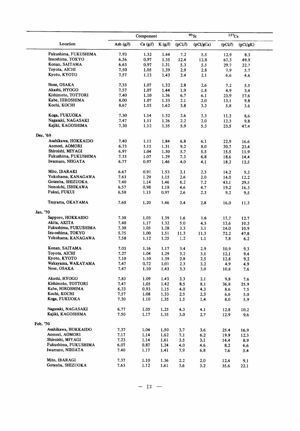|                                    |              | Component    |              |            | $90_{Sr}$  | $137C_s$     |              |
|------------------------------------|--------------|--------------|--------------|------------|------------|--------------|--------------|
| Location                           | Ash $(g/l)$  | Ca $(g/l)$   | K(g/l)       | (pCi/l)    | (pCi/gCa)  | (pCi/l)      | (pCi/gK)     |
| Fukushima, FUKUSHIMA               | 7.93         | 1.32         | 1.44         | 7.2        | 5.5        | 12.9         | 8.3          |
| Izuoshima, TOKYO                   | 6.56         | 0.97         | 1.35         | 12.4       | 12.8       | 67.3         | 49.9         |
| Konan, SAITAMA                     | 6.63         | 0.97         | 1.31         | 5.3        | 5.5        | 29.7         | 22.7         |
| Toyota, AICHI                      | 7.50         | 1.05         | 1.39         | 2.9        | 2.8        | 7.9          | 5.7          |
| Kyoto, KYOTO                       | 7.57         | 1.13         | 1.43         | 2.4        | 2.1        | 6.6          | 4.6          |
|                                    |              |              |              |            |            |              |              |
| Nose, OSAKA                        | 7.33         | 1.07         | 1.32         | 2.8        | 2.6        | 7.2          | 5.5          |
| Akashi, HYOGO                      | 7.57         | 1.07         | 1.44         | 1.9        | 1.8        | 4.9          | 3,4          |
| Kishimoto, TOTTORI                 | 7.40         | 1.10         | 1.36         | 6.7        | 6.1        | 23.9         | 17.6         |
| Kabe, HIROSHIMA                    | 8.00         | 1.07         | 1.33         | 2.1        | 2.0        | 13.1         | 9.8          |
| Kochi, KOCHI                       | 8.67         | 1.15         | 1.62         | 3.8        | 3.3        | 5.8          | 3.6          |
| Koga, FUKUOKA                      | 7.30         | 1.14         | 1.32         | 2.6        | 2.3        | 11.3         | 8.6          |
| Nagasaki, NAGASAKI                 | 7.47         | 1.11         | 1.26         | 2.2        | 2.0        | 12.3         | 9.8          |
| Kajiki, KAGOSHIMA                  | 7.30         | 1.12         | 1.35         | 5.9        | 5.3        | 23.5         | 47.4         |
|                                    |              |              |              |            |            |              |              |
| Dec. '69<br>Asahikawa, HOKKAIDO    | 7.40         | 1.11         | 1.84         | 6.8        | 6.1        | 22.9         | 16.6         |
| Aomori, AOMORI                     | 6.73         | 1.15         | 1.31         | 9.2        | 8.0        |              |              |
| Shiroishi, MIYAGI                  | 6.97         |              |              |            |            | 30.7         | 23.4         |
| Fukushima, FUKUSHIMA               |              | 1.04         | 1.30         | 5.7        | 5.5        | 15.5         | 11.9         |
| Iwamuro, NIIGATA                   | 7.33<br>6.77 | 1.07<br>0.97 | 1.29<br>1.46 | 7.3<br>4.0 | 6.8<br>4.1 | 18.6<br>18.2 | 14.4<br>12.5 |
|                                    |              |              |              |            |            |              |              |
| Mito, IBARAKI                      | 6.67         | 0.91         | 1.53         | 2.1        | 2.3        | 14.2         | 9.3          |
| Yokohama, KANAGAWA                 | 7.63         | 1.29         | 1.15         | 2.6        | 2.0        | 14.0         | 12.2         |
| Gotenba, SHIZUOKA                  | 7.40         | 1.14         | 1.46         | 8.2        | 7.2        | 43.1         | 29.5         |
| Nonoichi, ISHIKAWA                 | 6.57         | 0.98         | 1.18         | 4.6        | 4.7        | 19.2         | 16.3         |
| Fukui, FUKUI                       | 6.50         | 1.13         | 0.97         | 2.6        | 2.3        | 9.2          | 9.5          |
| Tsuyama, OKAYAMA                   | 7.60         | 1.20         | 1.46         | 3,4        | 2.8        | 16.0         | 11.3         |
| Jan. '70                           |              |              |              |            |            |              |              |
| Sapporo, HOKKAIDO                  | 7.30         | 1.03         | 1.39         | 1.6        | 1.6        | 17.7         | 12.7         |
| Akita, AKITA                       | 7.40         | 1.17         | 1.32         | 5.0        | 4.3        | 13.6         | 10.3         |
| Fukushima, FUKUSHIMA               | 7.30         | 1.05         | 1.28         | 3.3        | 3.1        | 14.0         | 10.9         |
| Izu-oshima, TOKYO                  | 5.75         | 1.00         | 1.51         | 11.3       | 11.3       | 72.2         |              |
| Yokohama, KANAGAWA                 | 7.58         | 1.12         | 1.25         | 1.2        | 1.1        | 7.8          | 47.8<br>6.2  |
|                                    |              |              |              |            |            |              |              |
| Konan, SAITAMA                     | 7.03         | 1.16         | 1.17         | 3,4        | 2.9        | 10.9         | 9.3          |
| Toyota, AICHI                      | 7.27         | 1.04         | 1.29         | 3.2        | 3.1        | 12.1         | 9.4          |
| Kyoto, KYOTO                       | 7.10         | 1.10         | 1.39         | 2.8        | 2.5        | 12.8         | 9,2          |
| Wakayama, WAKAYAMA                 | 7.47         | 0.72         | 1.01         | 2.3        | 3.2        | 4.9          | 4.9          |
| Nose, OSAKA                        | 7.47         | 1.10         | 1.43         | 3.3        | 3.0        | 10.8         | 7.6          |
| Akashi, HYOGO                      | 7.83         | 1.09         | 1.43         | 2,3        | 2.1        |              |              |
| Kishimoto, TOTTORI                 | 7.47         |              |              |            |            | 9.8          | 7.6          |
| Kabe, HIROSHIMA                    |              | 1.05         | 1.42         | 8.5        | 8.1        | 36.8         | 25.9         |
|                                    | 6.33         | 0.93         | 1.15         | 4.0        | 4.3        | 8.6          | 7.5          |
| Kochi, KOCHI                       | 7.57         | 1.08         | 1.33         | 2.5        | 2.3        | 6.6          | 5.0          |
| Koga, FUKUOKA                      | 7.30         | 1.10         | 1.35         | 1.5        | 1.4        | 8.0          | 5.9          |
| Nagasaki, NAGASAKI                 | 6.77         | 1.05         | 1.25         | 4.3        | 4.1        | 12.8         | 10.2         |
| Kajiki, KAGOSHIMA                  | 7.50         | 1.17         | 1.35         | 3.0        | 2.7        | 12.9         | 9.6          |
| Feb. '70                           |              |              |              |            |            |              |              |
| Asahikawa, HOKKAIDO                | 7.37         | 1.04         | 1.50         | 3.7        | 3.6        | 25.4         | 16.9         |
| Aomori, AOMORI                     | 7.17         | 1.14         | 1.62         | 7.1        | 6.2        | 19.9         | 12.3         |
| Shiroishi, MIYAGI                  | 7.23         | 1.14         | 1.61         | 3.5        | 3.1        | 14.4         | 8.9          |
| Fukushima, FUKUSHIMA               | 6.07         | 0.87         | 1.24         | 4.0        | 4.6        | 8.2          | 6.6          |
| Iwamuro, NIIGATA                   | 7.40         | 1.17         | 1.41         | 7.9        | 6.8        | 7.6          | 5.4          |
|                                    |              |              |              |            |            |              |              |
| Mito, IBARAGI<br>Gotenba, SHIZUOKA | 7.37         | 1.10         | 1.36         | 2.2        | 2.0        | 12.4         | 9.1          |
|                                    | 7.63         | 1.12         | 1.61         | 3.6        | 3.2        | 35.6         | 22.1         |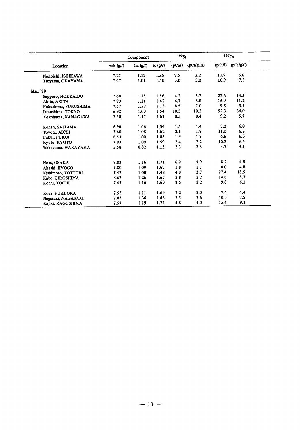|                      |             | Component  |        | 90 <sub>St</sub> |           |         | 137C <sub>S</sub> |  |
|----------------------|-------------|------------|--------|------------------|-----------|---------|-------------------|--|
| Location             | Ash $(g/l)$ | Ca $(g/l)$ | K(g/l) | (pCi/l)          | (pCi/gCa) | (pCi/l) | (pCi/gK)          |  |
| Nonoichi, ISHIKAWA   | 7.27        | 1.12       | 1.55   | 2.5              | 2.2       | 10.9    | 6.6               |  |
| Tsuyama, OKAYAMA     | 7.47        | 1.01       | 1.50   | 3.0              | 3.0       | 10.9    | 7.3               |  |
| Mar. '70             |             |            |        |                  |           |         |                   |  |
| Sapporo, HOKKAIDO    | 7.68        | 1.15       | 1.56   | 4.2              | 3.7       | 22.6    | 14.5              |  |
| Akita, AKITA         | 7.93        | 1.11       | 1.42   | 6.7              | 6.0       | 15.9    | 11.2              |  |
| Fukushima, FUKUSHIMA | 7.57        | 1.22       | 1.73   | 8.5              | 7.0       | 9.8     | 5.7               |  |
| Izu-oshima, TOKYO    | 6.92        | 1.03       | 1.54   | 10.5             | 10.2      | 52.3    | 34.0              |  |
| Yokohama, KANAGAWA   | 7.50        | 1.15       | 1.61   | 0.5              | 0.4       | 9.2     | 5.7               |  |
| Konan, SAITAMA       | 6.90        | 1.06       | 1.34   | 1.5              | 1.4       | 8.0     | 6.0               |  |
| Toyota, AICHI        | 7.60        | 1.08       | 1.62   | 2.1              | 1.9       | 11.0    | 6.8               |  |
| Fukui, FUKUI         | 6.53        | 1.00       | 1.05   | 1.9              | 1.9       | 6.6     | 6.3               |  |
| Kyoto, KYOTO         | 7.93        | 1.09       | 1.59   | 2.4              | 2.2       | 10.2    | 6.4               |  |
| Wakayama, WAKAYAMA   | 5.58        | 0.82       | 1.15   | 2.3              | 2.8       | 4.7     | 4.1               |  |
| Nose, OSAKA          | 7.83        | 1.16       | 1.71   | 6.9              | 5.9       | 8.2     | 4.8               |  |
| Akashi, HYOGO        | 7.80        | 1.09       | 1.67   | 1.8              | 1.7       | 8.0     | 4.8               |  |
| Kishimoto, TOTTORI   | 7.47        | 1.08       | 1.48   | 4.0              | 3.7       | 27.4    | 18.5              |  |
| Kabe, HIROSHIMA      | 8.67        | 1.26       | 1.67   | 2.8              | 2.2       | 14.6    | 8.7               |  |
| Kochi, KOCHI         | 7.47        | 1.16       | 1.60   | 2.6              | 2.2       | 9.8     | 6.1               |  |
| Koga, FUKUOKA        | 7.53        | 1.11       | 1.69   | 2.2              | 2.0       | 7.4     | 4.4               |  |
| Nagasaki, NAGASAKI   | 7.83        | 1.36       | 1.43   | 3.5              | 2.6       | 10.3    | 7.2               |  |
| Kajiki, KAGOSHIMA    | 7.57        | 1.19       | 1.71   | 4.8              | 4.0       | 15.6    | 9.1               |  |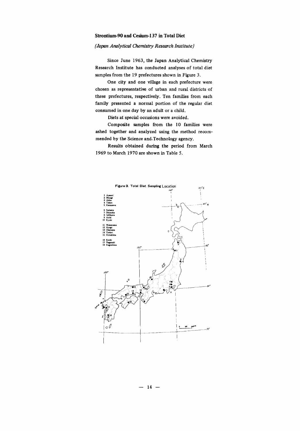#### Strontium-90 and Cesium-137 in Total Diet

#### (Japan Analytical Chemistry Research Institute)

Since June 1963, the Japan Analytical Chemistry Research Institute has conducted analyses of total diet samples from the 19 prefectures shown in Figure 3.

One city and one village in each prefecture were chosen as representative of urban and rural districts of these prefectures, respectively. Ten families from each family presented a normal portion of the regular diet consumed in one day by an adult or a child.

Diets at special occasions were avoided.

Composite samples from the 10 families were ashed together and analyzed using the method recommended by the Science and Technology agency.

Results obtained during the period from March 1969 to March 1970 are shown in Table 5.

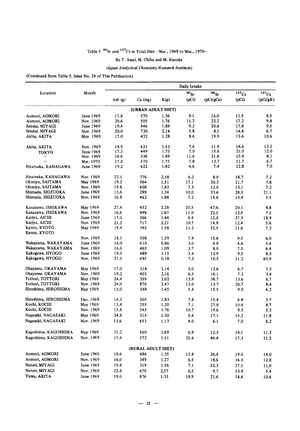#### Table 5  $90$  Sr and  $137$ Cs in Total Diet -Mar., 1969 to Mar., 1970-

#### By T. Asari, M. Chiba and M. Kuroda

#### (Japan Analytical Chemistry Research Institute)

(Continued from Table 5, Issue No. 24 of This Publication)

|                              |           |         |                           |      | Daily Intake |            |       |          |
|------------------------------|-----------|---------|---------------------------|------|--------------|------------|-------|----------|
| Location                     | Month     |         |                           |      | $^{90}$ Sr   | $^{90}$ Sr | 137Cs | $137C_s$ |
|                              |           | Ash (g) | $Ca$ (mg)                 | K(g) | (pCi)        | (pCi/gCa)  | (pCi) | (pCi/gK) |
|                              |           |         | (URBAN ADULT DIET)        |      |              |            |       |          |
| Aomori, AOMORI               | June 1969 | 17.8    | 570                       | 1.36 | 9.1          | 16.0       | 11.5  | 8.5      |
| Aomori, AOMORI               | Nov. 1969 | 20.6    | 505                       | 1.76 | 11.2         | 22.2       | 17.2  | 9.8      |
| Sendai, MIYAGI               | June 1969 | 19.4    | 446                       | 1.89 | 9.2          | 20.6       | 17.8  | 9.5      |
| Sendai, MIYAGI               | Nov. 1969 | 20.0    | 720                       | 2.14 | 5.8          | 8.1        | 14.4  | 6.7      |
| Akita, AKITA                 | May 1969  | 17.0    | 432                       | 1.28 | 8.6          | 19.9       | 13.6  | 10.6     |
| Akita, AKITA                 | Nov. 1969 | 14.9    | 621                       | 1.53 | 7.4          | 11.9       | 18.6  | 12.2     |
| TOKYO                        | June 1969 | 17.2    | 449                       | 1.75 | 7.0          | 15.6       | 21.0  | 12.0     |
| $\pmb{\cdot}$                | Nov. 1969 | 18.6    | 536                       | 1.89 | 11.6         | 21.6       | 15.4  | 8.1      |
| ,,                           | Mar. 1970 | 17.8    | 570                       | 1.75 | 7.8          | 13.7       | 11.7  | 6.7      |
| Hiratsuka, KANAGAWA          | June 1969 | 19.2    | 622                       | 1.82 | 4.6          | 7.4        | 12.8  | 7.0      |
| Hiratsuka, KANAGAWA          | Nov. 1969 | 22.1    | 776                       | 2.58 | 6.2          | 8,0        | 18.7  | 7.2      |
| Ohmiya, SAITAMA              | May 1969  | 19.2    | 564                       | 1.51 | 17.1         | 30.3       | 11.7  | 7.8      |
| Ohmiya, SAITAMA              | Nov. 1969 | 19.8    | 608                       | 1.82 | 7.3          | 12.0       | 13.1  | 7.2      |
| Shimada, SHIZUOKA            | June 1969 | 13.6    | 299                       | 1.34 | 10.0         | 33.4       | 28.3  | 21.1     |
| Shimada, SHIZUOKA            | Nov. 1969 | 16.8    | 462                       | 1.88 | 7.2          | 15.6       | 10.4  | 5.5      |
| Kanazawa, ISHIKAWA           | May 1969  | 27.4    | 452                       | 2.28 | 21.5         | 47.6       | 20.1  | 8.8      |
| Kanazawa, ISHIKAWA           | Nov. 1969 | 16.6    | 498                       | 1.67 | 11.0         | 22.1       | 12.5  | 7.5      |
| Kariya, AICHI                | June 1969 | 17.0    | 366                       | 1.44 | 4.4          | 12.0       | 27.3  | 18.9     |
| Kariya, AICHI                | Nov. 1969 | 21.2    | 717                       | 2.21 | 10.7         | 14.9       | 12.4  | 5.6      |
| Kyoto, KYOTO<br>Kyoto, KYOTO | May 1969  | 19.4    | 345                       | 1.58 | 11.2         | 32.5       | 11.6  | 7.3      |
|                              | Nov. 1969 | 18.1    | 508                       | 1.59 | 7.9          | 15.6       | 9.5   | 6.0      |
| Wakayama, WAKAYAMA           | June 1969 | 14.0    | 610                       | 0.86 | 3,0          | 4.9        | 4.6   | 5.4      |
| Wakayama, WAKAYAMA           | Nov. 1969 | 16.6    | 465                       | 1.09 | 3.7          | 8.0        | 7.0   | 6.4      |
| Kakogawa, HYOGO              | June 1969 | 19.0    | 488                       | 1.15 | 5.4          | 12.9       | 9.5   | 8.3      |
| Kakogawa, HYOGO              | Nov. 1969 | 37.5    | 695                       | 0.18 | 7.3          | 10.5       | 11.2  | 60.9     |
| Okayama, OKAYAMA             | May 1969  | 17.0    | 318                       | 1.14 | 4.0          | 12.6       | 6.7   | 7.3      |
| Okayama, OKAYAMA             | Nov. 1969 | 19.2    | 403                       | 2.16 | 6.5          | 16.1       | 7.3   | 3,4      |
| Tottori, TOTTORI             | May 1969  | 24.4    | 359                       | 2.02 | 13.9         | 38.7       | 13.6  | 6.7      |
| Tottori, TOTTORI             | Nov. 1969 | 24.0    | 876                       | 2.47 | 12.0         | 13.7       | 20.7  | 8.4      |
| Hiroshima, HIROSHIMA         | May 1969  | 15.0    | 348                       | 1.45 | 5.4          | 15.5       | 9.0   | 6.2      |
| Hiroshima, HIROSHIMA         | Dec. 1969 | 14.3    | 505                       | 1.83 | 7.8          | 15.4       | 6,8   | 3.7      |
| Kochi, KOCHI                 | May 1969  | 13.8    | 255                       | 1.20 | 7.1          | 27.8       | 10.4  | 8.7      |
| Kochi, KOCHI                 | Nov. 1969 | 15.8    | 545                       | 1.76 | 10.7         | 19.6       | 9.3   | 5.3      |
| Nagasaki, NAGASAKI           | May 1969  | 24.8    | 315                       | 1.30 | 5.4          | 17.1       | 15.2  | 11.8     |
| Nagasaki, NAGASAKI           | Nov. 1969 | 13.6    | 653                       | 1.13 | 4.0          | 6.1        | $7.0$ | 6.2      |
| Kagoshima, KAGOSHIMA         | May 1969  | 21.2    | 560                       | 1.69 | 6.9          | 12.3       | 19.1  | 11.3     |
| Kagoshima, KAGOSHIMA         | Nov. 1969 | 17.4    | 572                       | 1.51 | 25.4         | 44.4       | 17.3  | 11.5     |
|                              |           |         |                           |      |              |            |       |          |
| Aomori, AOMORI               | June 1969 | 18.6    | (RURAL ADULT DIET)<br>484 | 1.35 | 12.8         | 26.4       | 19.0  | 14.0     |
| Aomori, AOMORI               | Nov. 1969 | 16.0    | 349                       |      | 6.5          |            |       |          |
| Natori, MIYAGI               |           |         |                           | 1.27 |              | 18.6       | 16.3  | 12.8     |
|                              | June 1969 | 19.8    | 319                       | 1.56 | $7.1\,$      | 22.3       | 17.1  | 11.0     |
| Natori, MIYAGI               | Nov. 1969 | 22.8    | 670                       | 2.57 | 6.5          | 9.7        | 13.9  | 5.4      |
| Yuwa, AKITA                  | June 1969 | 19.0    | 876                       | 1.35 | 18.9         | 21.6       | 14.4  | 10.6     |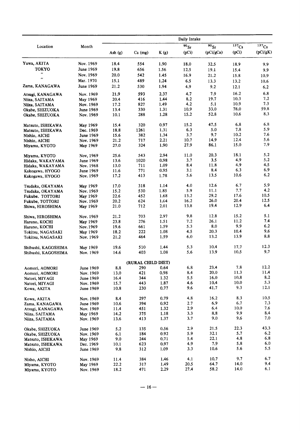|                     |           | Daily Intake |                    |      |         |                      |                       |                     |  |  |
|---------------------|-----------|--------------|--------------------|------|---------|----------------------|-----------------------|---------------------|--|--|
| Location            | Month     |              |                    |      | $90$ Sr | $\overline{90}_{Sr}$ | $\overline{137}_{Cs}$ | $\overline{137}$ Cs |  |  |
|                     |           | Ash $(g)$    | $Ca$ (mg)          | K(g) | (pCi)   | (pCi/gCa)            | (pCi)                 | (pCi/gK)            |  |  |
| Yuwa, AKITA         | Nov. 1969 | 18.4         | 554                | 1.90 | 18.0    | 32.5                 | 18.9                  | 9.9                 |  |  |
| <b>TOKYO</b>        | June 1969 | 19.8         | 656                | 1.56 | 12.5    | 19.1                 | 15.4                  | 9.9                 |  |  |
|                     | Nov. 1969 | 20.0         | 542                | 1.45 | 16.9    | 21.2                 | 15.8                  | 10.9                |  |  |
| $\bullet$           | Mar. 1970 | 15.1         | 489                | 1.24 | 6.5     | 13.3                 | 13.2                  | 10.6                |  |  |
| Zama, KANAGAWA      | June 1969 | 21.2         | 530                | 1.94 | 4.9     | 9.2                  | 12.1                  | 6.2                 |  |  |
| Atsugi, KANAGAWA    | Nov. 1969 | 21.9         | 593                | 2.37 | 4.7     | 7.9                  | 16.2                  | 6.8                 |  |  |
| Niiza, SAITAMA      | May 1969  | 20.4         | 416                | 1.44 | 8.2     | 19.7                 | 10.3                  | 7.2                 |  |  |
| Niiza, SAITAMA      | Nov. 1969 | 17.2         | 827                | 1.49 | 4.2     | 5.1                  | 10.9                  | 7.3                 |  |  |
| Okabe, SHIZUOKA     | June 1969 | 13.4         | 330                | 1.31 | 10.9    | 33.0                 | 78.0                  | 59.8                |  |  |
| Okabe, SHIZUOKA     | Nov. 1969 | 10.1         | 288                | 1.28 | 15.2    | 52.8                 | 10.6                  | 8.3                 |  |  |
| Matsuto, ISHIKAWA   | May 1969  | 15.4         | 320                | 0.97 | 15.2    | 47.5                 | 6.8                   | 6.8                 |  |  |
| Matsuto, ISHIKAWA   | Dec. 1969 | 18.8         | 1261               | 1.31 | 6.3     | 5.0                  | 7.8                   | 5.9                 |  |  |
| Nishio, AICHI       | June 1969 | 15.6         | 382                | 1.34 | 3.7     | 9.7                  | 10.2                  | 7.6                 |  |  |
| Nishio, AICHI       | Nov. 1969 | 21.2         | 717                | 2.21 | 10.7    | 14.9                 | 12.4                  | 5.6                 |  |  |
| Miyama, KYOTO       | May 1969  | 27.0         | 324                | 1.90 | 27.9    | 86.1                 | 15.0                  | 7.9                 |  |  |
| Miyama, KYOTO       | Nov, 1969 | 25.6         | 543                | 2.94 | 11.0    | 20.3                 | 18.1                  | 5.2                 |  |  |
| Hidaka, WAKAYAMA    | June 1969 | 13.6         | 1020               | 0.98 | 3.7     | 3.5                  | 4.9                   | 5.2                 |  |  |
| Hidaka, WAKAYAMA    | Nov. 1968 | 13.0         | 711                | 1.09 | 8.4     | 11.8                 | 4.9                   | 4,5                 |  |  |
| Kakogawa, HYOGO     | June 1969 | 11.6         | 771                | 0.95 | 3.1     | 8.4                  | 6.3                   | 6.9                 |  |  |
| Kakogawa, HYOGO     | Nov. 1969 | 17.2         | 413                | 1.78 | 5.6     | 13.5                 | 10.6                  | 6.2                 |  |  |
| Tsudaka, OKAYAMA    | May 1969  | 17.0         | 318                | 1.14 | 4.0     | 12.6                 | 6.7                   | 5.9                 |  |  |
| Tsudaka, OKAYAMA    | Nov. 1969 | 15.2         | 530                | 1.85 | 5.9     | 11.1                 | 7.7                   | 4.2                 |  |  |
| Fukube, TOTTORI     | May 1969  | 22.6         | 452                | 1.68 | 13.2    | 29.2                 | 17.6                  | 10.5                |  |  |
| Fukube, TOTTORI     | Nov. 1969 | 20.2         | 624                | 1.64 | 16.2    | 26.0                 | 20.4                  | 12.5                |  |  |
| Shiwa, HIROSHIMA    | May 1969  | 21.0         | 712                | 2.01 | 13.8    | 19.4                 | 12.9                  | 6.4                 |  |  |
| Shiwa, HIROSHIMA    | Nov. 1969 | 21.2         | 703                | 2.97 | 9.8     | 12.8                 | 15.2                  | 5.1                 |  |  |
| Haruno, KOCHI       | May 1969  | 23.8         | 276                | 1.51 | 7.2     | 26.1                 | 11.2                  | 7.4                 |  |  |
| Haruno, KOCHI       | Nov. 1969 | 19.6         | 661                | 1.59 | 5.3     | 8.0                  | 9.9                   | 6.2                 |  |  |
| Tokitsu, NAGASAKI   | May 1969  | 18.2         | 222                | 1.08 | 4.5     | 20.3                 | 10.4                  | 9.6                 |  |  |
| Tokitsu, NAGASAKI   | Nov. 1969 | 21.2         | 464                | 1.59 | 6.0     | 13.2                 | 13.9                  | 8.8                 |  |  |
| Shibushi, KAGOSHIMA | May 1969  | 19.6         | 510                | 1.44 | 5.3     | 10.4                 | 17.7                  | 12.3                |  |  |
| Shibushi, KAGOSHIMA | Nov. 1969 | 14.6         | 403                | 1.08 | 5.6     | 13.9                 | 10.5                  | 9.7                 |  |  |
|                     |           |              | (RURAL CHILD DIET) |      |         |                      |                       |                     |  |  |
| Aomori, AOMORI      | June 1969 | 8.8          | 290                | 0.64 | 6.8     | 23.4                 | 7.8                   | 12.2                |  |  |
| Aomori, AOMORI      | Nov. 1969 | 13.0         | 421                | 0.98 | 8.4     | 20.0                 | 11.3                  | 11.4                |  |  |
| Natori, MIYAGI      | June 1969 | 16.4         | 344                | 1.32 | 5.5     | 16.0                 | 10.8                  | 8.2                 |  |  |
| Natori, MIYAGI      | Nov. 1969 | 15.7         | 443                | 1.87 | 4.6     | 10.4                 | 10.0                  | 5.3                 |  |  |
| Kowa, AKITA         | June 1969 | 10.8         | 230                | 0.77 | 9.6     | 41.7                 | 9.3                   | 12.1                |  |  |
| Kowa, AKITA         | Nov. 1969 | 8.4          | 297                | 0.79 | 4.8     | 16.2                 | 8.3                   | 10.5                |  |  |
| Zama, KANAGAWA      | June 1969 | 10.6         | 394                | 0.92 | 2.7     | 6.9                  | 6.7                   | 7.3                 |  |  |
| Atsugi, KANAGAWA    | Nov. 1969 | 11.4         | 451                | 1.32 | 2.9     | 6.4                  | 10.0                  | 7.6                 |  |  |
| Niiza, SAITAMA      | May 1969  | 14.2         | 375                | 1.18 | 3.3     | 8.8                  | 9.9                   | 8.4                 |  |  |
| Niiza, SAITAMA      | Nov. 1969 | 13.6         | 413                | 1.37 | 3.7     | 9.0                  | 9.6                   | 7.0                 |  |  |
| Okabe, SHIZUOKA     | June 1969 | 5.2          | 135                | 0.56 | 2.9     | 21.5                 | 22.3                  | 43.3                |  |  |
| Okabe, SHIZUOKA     | Nov. 1969 | 6.1          | 184                | 0.92 | 5.9     | 32.1                 | 5.7                   | 6.2                 |  |  |
| Matsuto, ISHIKAWA   | May 1969  | 9.0          | 244                | 0.71 | 5.4     | 22.1                 | 4.8                   | 6.8                 |  |  |
| Matsuto, ISHIKAWA   | Dec. 1969 | 10.1         | 623                | 0.97 | 4.9     | 7.9                  | 5.8                   | 6.0                 |  |  |
| Nishio, AICHI       | June 1969 | 9.8          | 312                | 1.09 | 3.3     | 10.6                 | 5.6                   | 5.5                 |  |  |
| Nisho, AICHI        | Nov. 1969 | 11.4         | 384                | 1.46 | 4.1     | 10.7                 | 9.7                   | 6.7                 |  |  |
| Miyama, KYOTO       | May 1969  | 22.2         | 317                | 1.49 | 20.5    | 64.7                 | 14.0                  | 9.4                 |  |  |
| Miyama, KYOTO       | Nov. 1969 | 18.2         | 471                | 2.29 | 27.4    | 58.2                 | 14.0                  | 6.1                 |  |  |
|                     |           |              |                    |      |         |                      |                       |                     |  |  |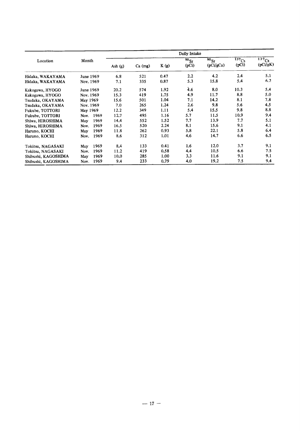|                     |              |           |           |      | Daily Intake            |                                          |                                |                                   |
|---------------------|--------------|-----------|-----------|------|-------------------------|------------------------------------------|--------------------------------|-----------------------------------|
| Location            | Month        | Ash $(g)$ | $Ca$ (mg) | K(g) | $\sqrt[36]{s}$<br>(pCi) | $\overline{90}_{\text{Sr}}$<br>(pCi/gCa) | $\overline{137}_{Cs}$<br>(pCi) | $\overline{137}_{Cs}$<br>(pCi/gK) |
| Hidaka, WAKAYAMA    | June 1969    | 6.8       | 521       | 0.47 | 2.2                     | 4.2                                      | 2.4                            | 5.1                               |
| Hidaka, WAKAYAMA    | Nov. 1969    | 7.1       | 335       | 0.87 | 5.3                     | 15.8                                     | 5.4                            | 6.2                               |
| Kakogawa, HYOGO     | June 1969    | 20.2      | 574       | 1.92 | 4.6                     | 8.0                                      | 10.3                           | 5.4                               |
| Kakogawa, HYOGO     | Nov. 1969    | 15.3      | 419       | 1.75 | 4.9                     | 11.7                                     | 8.8                            | 5.0                               |
| Tsudaka, OKAYAMA    | May 1969     | 15.6      | 501       | 1.04 | 7.1                     | 14.2                                     | 8.1                            | 7.8                               |
| Tsudaka, OKAYAMA    | Nov. 1969    | 7.0       | 265       | 1.24 | 2.6                     | 9.8                                      | 5.6                            | 4.5                               |
| Fukube, TOTTORI     | May 1969     | 12.2      | 349       | 1.11 | 5.4                     | 15.5                                     | 9.8                            | 8.8                               |
| Fukube, TOTTORI     | 1969<br>Nov. | 12.7      | 495       | 1.16 | 5.7                     | 11.5                                     | 10.9                           | 9.4                               |
| Shiwa, HIROSHIMA    | 1969<br>May  | 14.4      | 552       | 1.52 | 7.7                     | 13.9                                     | 7.7                            | 5.1                               |
| Shiwa, HIROSHIMA    | 1969<br>Nov. | 16.5      | 520       | 2.24 | 8.1                     | 15.6                                     | 9.1                            | 4.1                               |
| Haruno, KOCHI       | 1969<br>May  | 11.8      | 262       | 0.93 | 5.8                     | 22.1                                     | 5.8                            | 6.4                               |
| Haruno, KOCHI       | 1969<br>Nov. | 8.6       | 312       | 1.01 | 4,6                     | 14.7                                     | 6.6                            | 6.5                               |
| Tokitsu, NAGASAKI   | 1969<br>May  | 8.4       | 133       | 0.41 | 1.6                     | 12.0                                     | 3.7                            | 9.1                               |
| Tokitsu, NAGASAKI   | 1969<br>Nov. | 11.2      | 419       | 0.58 | 4.4                     | 10.5                                     | 6.6                            | 7.5                               |
| Shibushi, KAGOSHIMA | 1969<br>May  | 10.0      | 285       | 1.00 | 3.3                     | 11.6                                     | 9.1                            | 9.1                               |
| Shibushi, KAGOSHIMA | 1969<br>Nov. | 9.4       | 233       | 0.79 | 4.0                     | 19.2                                     | 7.5                            | 9.4                               |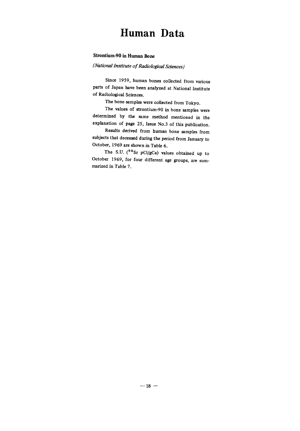### Human Data

#### Strontium-90 in Human Bone

#### (National Institute of Radiological Sciences)

Since 1959, human bones collected from various parts of Japan have been analyzed at National Institute of Radiological Sciences.

The bone samples were collected from Tokyo.

The values of strontium-90 in bone samples were determined by the same method mentioned in the explanation of page 25, Issue No.3 of this publication.

Results derived from human bone samples from subjects that deceased during the period from January to October, 1969 are shown in Table 6.

The S.U. ( $90$ Sr pCi/gCa) values obtained up to October 1969, for four different age groups, are summarized in Table 7.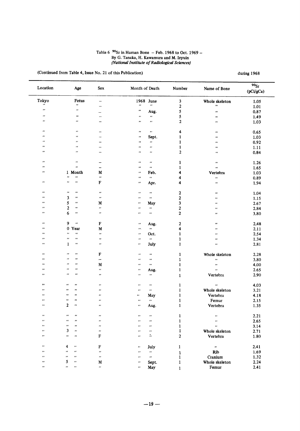## Table 6  $90$ Sr in Human Bone - Feb. 1968 to Oct. 1969 -<br>By G. Tanaka, H. Kawamura and M. Izyuin<br>(National Institute of Radiological Sciences)

(Continued from Table 4, Issue No. 21 of this Publication)

| Location           | Age                                   | Sex                      | Month of Death          |                        | Number                                                                                         | Name of Bone          | 90 <sub>St</sub><br>(pCi/gCa) |
|--------------------|---------------------------------------|--------------------------|-------------------------|------------------------|------------------------------------------------------------------------------------------------|-----------------------|-------------------------------|
| Tokyo              | Fetus                                 | $\overline{\phantom{0}}$ |                         | 1968 June              | $\mathbf{3}$                                                                                   | Whole skeleton        | 1.05                          |
| ñ                  | $\pmb{\cdot}$                         |                          | $\pmb{\cdot}$           | $\boldsymbol{\alpha}$  | $\mathbf{2}$                                                                                   | $\pmb{\cdot}$         | 1.01                          |
| $\bullet$          | $\pmb{\cdot}$                         | —                        | $\bullet\bullet$        | Aug.                   | 5                                                                                              | $\pmb{\cdots}$        | 0.87                          |
| $\bullet$          | $\pmb{\cdots}$                        | $\qquad \qquad$          | $\pmb{\cdots}$          | $\pmb{\cdots}$         | 5                                                                                              | $\pmb{\cdot}$         |                               |
| .,                 | $\pmb{\cdots}$                        | $\overline{\phantom{0}}$ | $\pmb{\cdots}$          | $\pmb{\cdot}$          | $\mathbf 2$                                                                                    | $\pmb{\cdot}$         | 1.49<br>1.03                  |
|                    |                                       |                          |                         |                        |                                                                                                |                       |                               |
| $\pmb{\cdot}$      | $\pmb{\cdots}$                        |                          | $^{\prime\prime}$       | $\pmb{\cdots}$         | 4                                                                                              | $\pmb{\cdot}$         | 0.65                          |
| $\cdots$           | $\pmb{\cdot}$                         | $\overline{\phantom{a}}$ | $\pmb{\cdot}$           | Sept.                  | $\mathbf{1}$                                                                                   | $\pmb{\cdot}$         | 1.03                          |
| $\pmb{\cdots}$     | $\pmb{r}$                             | $\overline{\phantom{0}}$ | $\pmb{\mu}$             | $\pmb{\cdot}$          | $\mathbf{I}$                                                                                   | $\pmb{\cdots}$        | 0.92                          |
| ,,                 | $\pmb{\cdot}$                         | —                        | $\bullet\bullet$        | $\pmb{\cdot}$          | $\mathbf{1}$                                                                                   | $\pmb{\cdot}$         | 1.11                          |
| $\cdots$           | $\pmb{\cdots}$                        | $\overline{\phantom{0}}$ | $\pmb{\cdot}$           | $\bullet$              | $\mathbf{2}$                                                                                   | $\pmb{\cdot}$         | 0.84                          |
| $\bullet$          | $\pmb{\cdots}$                        | $\overline{\phantom{0}}$ | $\pmb{\cdot}$           | $\bar{\boldsymbol{r}}$ | 1                                                                                              | $\pmb{\cdot}$         | 1.26                          |
| $^{\prime}$        | $\pmb{\cdot}$                         | ÷                        | $\pmb{\cdot}$           | $\pmb{\cdot}$          | $\mathbf{1}$                                                                                   | z,                    | 1.65                          |
| $\bullet$          | 1 Month                               | M                        | $\pmb{\cdot}$           | Feb.                   | 4                                                                                              | Vertebra              | 1.03                          |
|                    | $\pmb{\cdot}$<br>$\pmb{\cdot}$        | $\bullet\bullet$         | $\bullet\bullet$        | $\alpha$               | 4                                                                                              | $\pmb{\cdot}$         | 0.89                          |
| $\pmb{\cdots}$     | $\pmb{\cdot}$<br>$\pmb{\cdots}$       | ${\bf F}$                | $\pmb{\cdots}$          | Apr.                   | 4                                                                                              | $\boldsymbol{\alpha}$ | 1.94                          |
|                    |                                       |                          |                         |                        |                                                                                                |                       |                               |
| $\pmb{\cdots}$     | $\pmb{\cdot}$<br>$\pmb{\cdot}$        | $\ddot{\phantom{0}}$     | $\pmb{\cdot}$           | $\pmb{\cdot}$          | $\mathbf{2}$                                                                                   | $\bullet\bullet$      | 1.04                          |
| $\pmb{\cdots}$     | 3<br>$\pmb{\cdot}$                    | $\pmb{\cdot}$            | $\pmb{\cdot}$           | $\pmb{\cdots}$         | 2                                                                                              | $\pmb{\cdot}$         | 1.15                          |
| $\pmb{\cdot}$      | 5<br>$\pmb{\mu}$                      | M                        | $\pmb{\cdot}$           | May                    | 3                                                                                              | $\pmb{\cdot}$         | 2.67                          |
| $\pmb{\cdot}$      | 2<br>$\pmb{\cdot}$                    | $\pmb{\cdots}$           | $\pmb{\cdot}$           | $\pmb{\cdot}$          | $\mathbf 2$                                                                                    | $\pmb{\cdot}$         | 2.84                          |
| $\pmb{\cdot}$      | 6<br>$\pmb{\cdot}$                    | $\boldsymbol{\mu}$       | $\pmb{\cdot}$           | $\pmb{\cdots}$         | $\boldsymbol{2}$                                                                               | $\pmb{\cdot}$         | 3.80                          |
| $\pmb{\cdot}$      | 9<br>$\pmb{\cdot}$                    | F                        | $\boldsymbol{\epsilon}$ | Aug.                   | 2                                                                                              | $\pmb{\cdot}$         | 2.48                          |
| $^{\prime\prime}$  | $\bf{0}$<br>Year                      | M                        | $\pmb{\cdots}$          | $\mathbf{r}$           | 4                                                                                              | $\pmb{\cdots}$        | 2.11                          |
| $\pmb{\cdots}$     | $\pmb{\cdot}$<br>$\pmb{\theta}$       | $\pmb{\cdots}$           |                         |                        |                                                                                                |                       |                               |
| $\pmb{\cdots}$     | $\pmb{\cdot}$<br>,,                   |                          | $\cdots$                | Oct.<br>$\alpha$       | $\mathbf{1}$                                                                                   | $\pmb{\cdot}$         | 2.54                          |
| $\pmb{\cdot}$      | $\pmb{\cdot}$                         | $^{\prime\prime}$        | $\bullet$               |                        | $\mathbf{1}$                                                                                   | $\pmb{\cdot}$         | 1.34                          |
|                    | 1                                     | $\pmb{\cdot}$            | $\pmb{\cdot}$           | July                   | $\mathbf{1}$                                                                                   | $\pmb{\cdot}$         | 2.81                          |
| $\pmb{\cdots}$     | ,,<br>$\pmb{\cdot}$                   | ${\bf F}$                | $\pmb{\cdot}$           | $\pmb{\mu}$            | $\mathbf{1}$                                                                                   | Whole skeleton        | 2.28                          |
| $^{\prime\prime}$  | $\pmb{\cdot}$<br>,,                   | $\equiv$                 | $\bullet\bullet$        | $\pmb{\cdot}$          | $\mathbf{1}$                                                                                   | $\pmb{\cdots}$        | 3.80                          |
| $\pmb{\cdots}$     | ,,<br>$\pmb{\cdot}$                   | M                        | $\pmb{\cdots}$          | $\pmb{\cdot}$          | $\mathbf{1}$                                                                                   | $\pmb{\cdot}$         | 4.00                          |
| $\pmb{\cdots}$     | ,,<br>,,                              | $\pmb{\cdot}$            | $\pmb{\cdot}$           | Aug.                   | $\mathbf{1}$                                                                                   | $\hat{\mathbf{r}}$    | 2.65                          |
| $\bullet\,\bullet$ | $\pmb{\cdot}$<br>$\pmb{\cdots}$       | $\pmb{\cdot}$            | $\pmb{\cdot}$           | $\pmb{\cdot}$          | $\mathbf{1}$                                                                                   | Vertebra              | 2.90                          |
|                    |                                       |                          |                         |                        |                                                                                                |                       |                               |
| $\, \,$            | $\pmb{\cdot}$<br>$\pmb{\cdots}$       | $\pmb{\cdot}$            | $\pmb{\cdot}$           | $\bullet\,\bullet$     | 1                                                                                              | $\bullet\bullet$      | 4.03                          |
| $\pmb{s}$ .        | $\pmb{\cdot}$<br>$\pmb{\cdot}$        | $\pmb{\cdot}$            | $\pmb{\cdot}$           | $\pmb{\cdots}$         | $\mathbf{1}% _{T}\left  \mathbf{1}\right\rangle =\mathbf{1}_{T}\left  \mathbf{1}\right\rangle$ | Whole skeleton        | 3.21                          |
| $\bullet\bullet$   | $\pmb{\cdot}$<br>$\pmb{\cdots}$       | $\pmb{\cdots}$           | .,                      | May                    | 1                                                                                              | Vertebra              | 4.18                          |
| ,,                 | $\pmb{\cdot}$<br>$\bullet$            | $\pmb{\cdot}$            | $\pmb{\cdot}$           | $\pmb{\mu}$            | $\mathbf{1}$                                                                                   | Femur                 | 2.15                          |
| $\pmb{\cdot}$      | 2<br>$\pmb{\cdot}$                    | $\pmb{\cdot}$            | $\pmb{\cdots}$          | Aug.                   | $\mathbf{1}$                                                                                   | Vertebra              | 1.35                          |
| $\pmb{\cdot}$      | $\pmb{\cdot}$<br>$\pmb{\cdots}$       | $\pmb{\cdot}$            | $\pmb{\cdot}$           | $\mathbf{r}$           | 1                                                                                              | $\pmb{\cdots}$        | 2.21                          |
| $\pmb{\cdots}$     | $\pmb{\cdots}$<br>$\pmb{\cdot}$       | $\pmb{\cdot}$            | $\pmb{\cdot}$           | $\pmb{\cdots}$         | $\mathbf{1}$                                                                                   | $\mathbf{r}$          | 2.65                          |
| $\mathbf{r}$       | $\pmb{\cdots}$<br>$\pmb{\cdot}$       | $\mathbf{r}$             | $\pmb{\cdot}$           | $\cdots$               | $\mathbf{1}$                                                                                   | $\mathbf{r}$          | 3.14                          |
| $\bullet$          | 3<br>$\pmb{\cdot}$                    | $\pmb{\cdot}$            | $\bullet$ $\bullet$     | $\cdots$               | $\mathbf{1}$                                                                                   | Whole skeleton        | 2.71                          |
| $\pmb{\cdots}$     | $\pmb{\cdot}$<br>$\pmb{\cdot}$        | $\mathbf F$              | $\pmb{\cdot}$           | ν,                     | $\mathbf{2}$                                                                                   | Vertebra              | 1.80                          |
|                    |                                       |                          |                         |                        |                                                                                                |                       |                               |
| ,,                 | 4<br>$\pmb{\cdots}$                   | ${\bf F}$                | $\pmb{r}$               | July                   | 1                                                                                              | $\mathcal{U}$         | 2.41                          |
| $\pmb{\cdot}$      | $\bullet\bullet$<br>$^{\prime\prime}$ | $\bar{\boldsymbol{r}}$   | $\pmb{\cdots}$          | $\boldsymbol{\alpha}$  | $\mathbf{1}$                                                                                   | Rib                   | 1.69                          |
| $\bullet$          | $\pmb{\cdots}$<br>$\bullet\bullet$    | $\bar{\boldsymbol{r}}$   | $\pmb{\cdot}$           | $\pmb{\cdot}$          | 1                                                                                              | Cranium               | 1.32                          |
| $\pmb{\ast}$       | 5<br>$\pmb{\cdots}$                   | M                        | $\pmb{\mu}$             | Sept.                  | $\mathbf{1}$                                                                                   | Whole skeleton        | 2.24                          |
| $\bullet\bullet$   | <br>$\pmb{\cdot}$                     | $\bar{\phantom{a}}$      | $\pmb{\cdot}$           | May                    | 1                                                                                              | Femur                 | 2.41                          |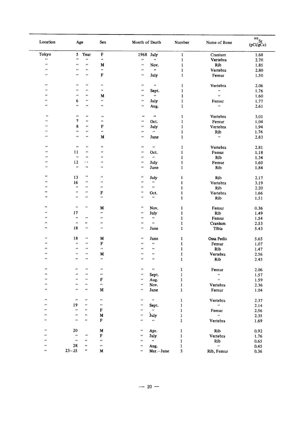| Location              | Age                |                      | Sex            | Month of Death     |                            | Number                                                                                         | Name of Bone              | $\frac{90}{\text{Sr}}$ (pCi/gCa) |
|-----------------------|--------------------|----------------------|----------------|--------------------|----------------------------|------------------------------------------------------------------------------------------------|---------------------------|----------------------------------|
| Tokyo                 | 5 <sub>1</sub>     | Year                 | $\mathbf F$    | 1968 July          |                            | $\mathbf{1}$                                                                                   | Cranium                   | 1.68                             |
| $\pmb{\cdots}$        | $\bullet$          | $\pmb{\cdot}$        | $\pmb{\mu}$    | ä                  | $\boldsymbol{\alpha}$      | $\mathbf{1}$                                                                                   | Vertebra                  | 2.70                             |
| $\pmb{\cdot}$         | ,,                 | $\pmb{\cdots}$       | М              | $\pmb{\cdot}$      | Nov.                       | $\mathbf{1}$                                                                                   | Rib                       | 1.85                             |
| ,,                    | ,,                 | $\pmb{\cdot}$        | $\pmb{\mu}$    | $\bullet\bullet$   | $\pmb{\mu}$                |                                                                                                |                           |                                  |
|                       |                    |                      |                |                    |                            | $\mathbf{1}$                                                                                   | Vertebra                  | 2.80                             |
| $\pmb{\cdot}$         | $\bullet$          | $\pmb{\cdots}$       | $\mathbf F$    | $\bullet$          | July                       | $\mathbf{1}$                                                                                   | Femur                     | 1.50                             |
| $\pmb{\cdots}$        | .,                 | $\pmb{\cdot}$        | $\pmb{\cdot}$  | $\pmb{\mu}$        | $\boldsymbol{\theta}$      | $\mathbf{1}$                                                                                   | Vertebra                  | 2.06                             |
| $\cdot$               | ,,                 | $\pmb{\cdots}$       | $\pmb{\cdot}$  | $\pmb{\cdots}$     | Sept.                      | $\mathbf{1}$                                                                                   | $\pmb{\cdot}$             | 1.76                             |
| ,,                    | ,,                 | $\pmb{\cdots}$       | M              | $\bullet$          | $\pmb{\cdot}$              | 1                                                                                              | $\pmb{\cdot}$             | 1.60                             |
| $\pmb{\cdots}$        | 6                  | $\pmb{\mu}$          | $\pmb{\cdot}$  | $\bullet$          | July                       | $\mathbf{1}$                                                                                   | Femur                     | 1.77                             |
| ,,                    | ,,                 | $\bullet\bullet$     | $\pmb{\cdot}$  | $\pmb{\cdot}$      |                            |                                                                                                | $\bar{\epsilon}$          |                                  |
|                       |                    |                      |                |                    | Aug.                       | $\mathbf{1}$                                                                                   |                           | 2.61                             |
| $\pmb{\cdot}$         | $\pmb{\cdot}$      | $\pmb{\cdot}$        | $\pmb{\cdot}$  | $\bullet\bullet$   | $\pmb{\mu}$                | 1                                                                                              | Vertebra                  | 3.01                             |
| $\cdot$               | 7                  | $\bullet$            | $\pmb{\cdots}$ | ,,                 | Oct.                       | $\mathbf{1}$                                                                                   | Femur                     | 1.04                             |
| ,,                    |                    | $\pmb{\cdot}$        |                |                    |                            |                                                                                                |                           |                                  |
|                       | 8                  |                      | F              | $\pmb{s}$          | July                       | $\mathbf{1}$                                                                                   | Vertebra                  | 1.94                             |
| $\cdot$               | $\bullet$          | $\pmb{\cdot}$        | $\pmb{\cdot}$  | $\bullet$          | $\mathcal{H}$              | $\mathbf{1}$                                                                                   | Rib                       | 1.76                             |
| $\pmb{\cdot}$         | ,,                 | $\bullet\bullet$     | М              | $\pmb{\cdot}$      | June                       | $\mathbf{1}$                                                                                   | $\pmb{\cdot}$             | 2.83                             |
| ,,                    | $\pmb{\cdot}$      | $\bullet$ .          | $\pmb{\cdot}$  | $\pmb{\cdot}$      | $\boldsymbol{\epsilon}$    | $\mathbf{1}$                                                                                   | Vertebra                  | 2.81                             |
| $\bullet$             | 11                 | $\pmb{\cdot}$        | $\pmb{\cdot}$  | $\pmb{\cdots}$     | Oct.                       | 1                                                                                              | Femur                     | 1.18                             |
| $\pmb{\cdot}$         | $\boldsymbol{\mu}$ | $\pmb{\cdots}$       | $\pmb{\cdot}$  | ,,                 | $\boldsymbol{\mu}$         | $\mathbf{1}$                                                                                   | Rib                       | 1.34                             |
| $\bullet$             | 12                 | $\epsilon$ .         | $\bullet$      | $\pmb{\cdot}$      |                            |                                                                                                |                           |                                  |
| $\pmb{\cdot}$         | $\pmb{\cdot}$      | $\pmb{\mu}$          |                |                    | July                       | $\mathbf{1}% _{T}\left  \mathbf{1}\right\rangle =\mathbf{1}_{T}\left  \mathbf{1}\right\rangle$ | Femur                     | 1.60                             |
|                       |                    |                      | $\pmb{\cdot}$  | $\pmb{\mu}$        | June                       | $\mathbf{1}$                                                                                   | Rib                       | 1.84                             |
| ,,                    | 13                 | $\bullet\bullet$     | $\pmb{\cdot}$  | $\pmb{\cdot}$      | July                       | $\mathbf{1}$                                                                                   | Rib                       | 2.17                             |
| ,,                    | 16                 | $\bullet\bullet$     | $\pmb{\cdots}$ | $\pmb{\cdot}$      | $\alpha$                   | $\mathbf{1}$                                                                                   | Vertebra                  | 3.19                             |
| $\cdot$               | $\pmb{\nu}$        | $\bullet\,\bullet$   | $\pmb{\cdot}$  | $\pmb{\cdot}$      | $\pmb{\cdot}$              | $\mathbf{1}$                                                                                   | Rib                       | 2.20                             |
| $\pmb{\cdot}$         | $\pmb{\cdot}$      | $\cdots$             | F              | $\pmb{\cdot}$      | Oct.                       | $\mathbf{1}$                                                                                   | Vertebra                  |                                  |
| $\pmb{\cdot}$         | $\pmb{\mu}$        | $\pmb{\cdots}$       | $\pmb{\cdot}$  | $\pmb{\cdot}$      | $\bullet\bullet$           |                                                                                                |                           | 1.66                             |
|                       |                    |                      |                |                    |                            | $\mathbf{1}$                                                                                   | Rib                       | 1.51                             |
| $\bullet$             | $\bullet\bullet$   | $\cdots$             | M              | $\pmb{\cdot}$      | Nov.                       | $\mathbf{1}$                                                                                   | Femur                     | 0.36                             |
| $\pmb{\cdot}$         | 17                 |                      | $\pmb{\cdots}$ | $\pmb{\cdot}$      | July                       | $\mathbf{1}$                                                                                   | Rib                       | 1.49                             |
| $\pmb{\cdots}$        | $\bullet\bullet$   | $\cdots$             | $\pmb{\cdot}$  | $\pmb{\cdot}$      | $\boldsymbol{\theta}$      | $\mathbf{1}$                                                                                   | Femur                     | 1.54                             |
| $\pmb{\cdot}$         | $\bullet\,\bullet$ | $\pmb{\cdot}$        | $\bullet$      | $\pmb{\cdot}$      | $\bullet\bullet$           | $\mathbf{1}$                                                                                   | Cranium                   | 2.53                             |
| $\pmb{\cdots}$        | 18                 | $\pmb{\cdots}$       | $\pmb{\cdot}$  | $\bullet\,\bullet$ | June                       | $\mathbf{1}$                                                                                   | Tibia                     | 5.43                             |
| $\pmb{\cdots}$        | 18                 | $\pmb{\cdot}$        | M              | $\pmb{\cdot}$      |                            |                                                                                                |                           |                                  |
|                       |                    |                      |                |                    | June                       | 1                                                                                              | Ossa Pedis                | 5.65                             |
| $\pmb{\cdot}$         | $\pmb{\mu}$        | $\boldsymbol{\cdot}$ | F              | $\pmb{\cdot}$      | $\pmb{\cdot}$              | $\mathbf{1}$                                                                                   | Femur                     | 1.07                             |
| $^{\tiny{\text{ss}}}$ | $\pmb{\cdots}$     | $\boldsymbol{\cdot}$ | $\pmb{\cdot}$  | $\pmb{\cdot}$      | $\pmb{\cdot}$              | 1                                                                                              | Rib                       | 1.47                             |
| $^{\prime}$           | $^{\prime\prime}$  | $\bullet\bullet$     | M              | $\pmb{\cdot}$      | $\pmb{r}$                  | 1                                                                                              | Vertebra                  | 2.56                             |
| $\pmb{\cdots}$        | $\bullet\bullet$   | $\bullet$            | $\pmb{\cdot}$  | $\pmb{\cdot}$      | $\pmb{\cdot}$              | $\mathbf{I}$                                                                                   | Rib                       | 2.45                             |
| $\pmb{\cdots}$        | $\pmb{\cdots}$     | $\bullet$ $\bullet$  | $\pmb{\cdot}$  | $\pmb{\cdot}$      | $\pmb{\cdot}$              | $\mathbf{1}$                                                                                   | Femur                     | 2.06                             |
| $\pmb{\cdot}$         | $\bullet\,\bullet$ | $\bullet\bullet$     | $\cdot$        | $\pmb{\sigma}$     | Sept.                      | $\mathbf{1}$                                                                                   | $\bar{\boldsymbol{H}}$    | 1.57                             |
| $\pmb{\cdot}$         | $\pmb{\cdot}$      | $\bullet\bullet$     | F              | $\pmb{\cdots}$     |                            | $\mathbf 1$                                                                                    | $\alpha$                  |                                  |
| $\pmb{\cdots}$        | $\cdots$           | $\bullet$            | $\pmb{\cdot}$  |                    | Aug.                       |                                                                                                |                           | 1.59                             |
|                       |                    |                      |                | $\pmb{\cdot}$      | Nov.                       | $\mathbf{1}$                                                                                   | Vertebra                  | 2.36                             |
| $\pmb{\cdot}$         | $\pmb{\cdots}$     | $\bullet\bullet$     | M              | $\pmb{\cdot}$      | June                       | $\mathbf{1}$                                                                                   | Femur                     | 1.04                             |
| $\mathbf{r}$          | $\pmb{\cdots}$     | $\pmb{\cdot}$        | $\mathbf{r}$   | $\pmb{\cdot}$      | $\boldsymbol{\alpha}$      | 1                                                                                              | Vertebra                  | 2.37                             |
| $\bullet$             | 19                 | $\bullet\,\bullet$   | $\pmb{\cdot}$  | $\pmb{\cdot}$      | Sept.                      | $\mathbf{1}$                                                                                   | $\alpha$                  | 2.14                             |
| $\bullet$             | $\bar{\mathbf{r}}$ | $\pmb{\cdots}$       | F              | $\pmb{\cdot}$      | $\alpha$                   | $\mathbf{1}$                                                                                   | Femur                     | 2.56                             |
| $\bullet$             | $\bullet\,\bullet$ | $\pmb{\cdot}$        | $\mathbf M$    | $\pmb{\cdots}$     | July                       | $\mathbf{1}$                                                                                   | $\boldsymbol{\alpha}$     | 2.35                             |
| $\pmb{\mu}$           | $\mathbf{r}$       | $\pmb{\cdots}$       | $\mathbf F$    | $\pmb{\cdot}$      | $\pmb{\cdot}$              | $\mathbf{1}$                                                                                   | Vertebra                  | 1.69                             |
|                       |                    |                      |                |                    |                            |                                                                                                |                           |                                  |
| $\pmb{\cdots}$        | 20                 |                      | M              | $\pmb{\cdot}$      | Apr.                       | $\mathbf{1}$                                                                                   | Rib                       | 0.92                             |
| $\pmb{\cdots}$        | $\pmb{\mu}$        | $\pmb{\cdots}$       | $\mathbf F$    | $\pmb{\cdot}$      | July                       | $\mathbf{1}$                                                                                   | Vertebra                  | 1.76                             |
| $\bullet\,\bullet$    | $\pmb{\cdot}$      | $\pmb{\cdot}$        | $\pmb{\mu}$    | $\pmb{\cdot}$      | $\mathcal{L}(\mathcal{C})$ | $\mathbf{1}$                                                                                   | Rib                       | 0.65                             |
| ,,                    | 28                 | $\pmb{\cdot}$        | $\pmb{\cdot}$  | $\pmb{\cdot}$      | Aug.                       | $\mathbf{1}$                                                                                   | $\mathcal{F} \mathcal{F}$ | 0.45                             |
| $\bullet\bullet$      | $23 - 25$          | $\bullet$            | $\mathbf M$    | $\bullet\bullet$   | Mar.-June                  | 3                                                                                              | Rib, Femur                | 0.36                             |
|                       |                    |                      |                |                    |                            |                                                                                                |                           |                                  |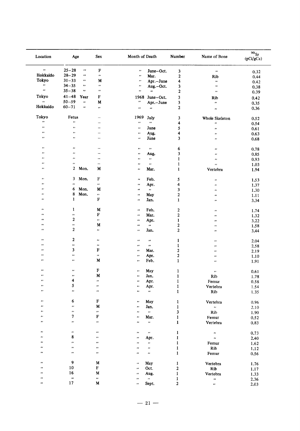| Location           | Age                        | Sex                            | Month of Death                  |                               | Number                       | Name of Bone         | 90 <sub>ST</sub><br>(pCi/gCa) |
|--------------------|----------------------------|--------------------------------|---------------------------------|-------------------------------|------------------------------|----------------------|-------------------------------|
| $\pmb{\mu}$        | $25 - 28$                  | $\mathbf F$<br>$\pmb{\cdot}$   | $\pmb{\cdot}$                   | June-Oct.                     | 3                            | $\pmb{\cdots}$       | 0.32                          |
| Hokkaido           | $28 - 29$                  | $\pmb{\cdot}$<br>$\pmb{\cdot}$ | $\pmb{\cdot}$                   | Mar.                          | $\boldsymbol{2}$             | Rib                  | 0.44                          |
| Tokyo              | $31 - 33$<br>,,            | M                              | $\pmb{\cdot}$                   | Apr.-June                     | 4                            | $\bullet$            | 0.42                          |
| $\bullet$          | $34 - 35$<br>$\cdots$      | $\boldsymbol{\mu}$             | $\pmb{\cdot}$                   | Aug.-Oct.                     | 3                            | $\pmb{\cdot}$        | 0.38                          |
| $\bullet\bullet$   | $35 - 38$<br>$\pmb{\cdot}$ | $\pmb{\cdot}$                  | $\pmb{\cdot}$                   | $\pmb{\mu}$                   | $\mathbf{2}$                 | $\pmb{\cdots}$       | 0.39                          |
| Tokyo              | $41 - 48$<br>Year          | F                              |                                 |                               |                              |                      |                               |
| $\pmb{\cdots}$     | $50 - 59$                  | $\ddot{\phantom{0}}$<br>M      | 1968<br>$\bullet$               | June-Oct.                     | 3                            | Rib                  | 0.42                          |
| Hokkaido           | $60 - 71$<br>$\pmb{\cdot}$ |                                |                                 | Apr.-June                     | 3                            | $\pmb{\cdot}$        | 0.35                          |
|                    |                            | $\pmb{\cdot}$                  | $\pmb{\cdots}$                  | $\bullet\bullet$              | $\boldsymbol{2}$             | $\pmb{\cdot}$        | 0.36                          |
| Tokyo              | Fetus                      |                                | 1969                            | July                          | $\mathbf 3$                  | Whole Skeleton       | 0.52                          |
| $\pmb{\cdot}$      | $\pmb{\cdots}$             | <u></u>                        | $\pmb{\cdot}$                   | $\boldsymbol{\alpha}$         | 4                            | $\pmb{\cdots}$       | 0.54                          |
| $\pmb{\cdot}$      | $\pmb{\cdot}$              | -                              | $\pmb{\cdot}$                   | June                          | 5                            | $\pmb{\mu}$          | 0.61                          |
| $\bullet$          | $\pmb{\cdots}$             | $\overline{\phantom{0}}$       | $\bullet$ $\bullet$             | Aug.                          | 4                            | $\pmb{\cdots}$       | 0.63                          |
| $\bullet$          | $\bullet$                  | ÷.                             | $\bullet$                       | June                          | 3                            | $\pmb{\cdots}$       | 0.68                          |
| $\pmb{\mu}$        | $\bullet\bullet$           | -                              | $\pmb{\cdot}$                   | $\mathbf{r}$                  | 6                            | $\pmb{\cdot}$        |                               |
| $\pmb{\cdots}$     | $\pmb{\cdot}$              | $\overline{\phantom{0}}$       | $\pmb{\cdot}$                   | Aug.                          | 3                            |                      | 0.78                          |
| $\pmb{\cdot}$      | $\pmb{s}$ ,                | -                              |                                 |                               |                              | $\pmb{\cdots}$       | 0.85                          |
| $\bullet\bullet$   | $^{\prime}$                |                                | $\bullet\bullet$                | $\mathbf{r}$                  | $\mathbf{1}$                 | $\bullet$            | 0.93                          |
| $\bullet$          | $\mathbf{2}$               | $\overline{\phantom{a}}$<br>M  | $\pmb{\cdot}$                   | $\pmb{\mu}$                   | $\mathbf{1}$                 | $\bar{\phantom{a}}$  | 1.03                          |
|                    | Mon.                       |                                | $\pmb{\cdot}$                   | Mar.                          | $\mathbf{1}$                 | Vertebra             | 1.94                          |
| $\bullet\,\bullet$ | 3<br>Mon.                  | F                              | $\pmb{\cdot}$                   | Feb.                          | 5                            | $\pmb{\cdot}$        | 1.53                          |
| $\pmb{\cdot}$      | $\ddot{\phantom{0}}$       | $\pmb{\cdot}$                  | $\pmb{\cdot}$                   | Apr.                          | 4                            | $\pmb{\mu}$          | 1.37                          |
| $\pmb{\cdot}$      | 6<br>Mon.                  | M                              | $\pmb{\cdot}$                   | $\mathbf{r}$                  | 3                            | $\pmb{\cdots}$       | 1.30                          |
| $\bullet$          | 8<br>Mon.                  | $\pmb{\cdots}$                 | $\ddot{\phantom{0}}$            | May                           | $\mathbf 2$                  | $\pmb{\cdot}$        | 1.11                          |
| $\pmb{\cdot}$      | $\mathbf{1}$               | F                              | $\bullet$                       | Jan.                          | $\mathbf{1}$                 | $\pmb{\cdot}$        | 3.34                          |
| $\pmb{\cdot}$      | 1                          | M                              | $\pmb{\cdot}$                   | Feb.                          | $\boldsymbol{2}$             | $\pmb{\cdot}$        | 1.74                          |
| $\bullet$          | $\pmb{\cdot}$              | F                              | $\pmb{\cdot}$                   | Mar.                          | $\boldsymbol{2}$             | $\bullet$            | 1.32                          |
| $\bullet\bullet$   | $\mathbf{2}$               | $\pmb{\cdot}$                  | $\pmb{\cdots}$                  | Apr.                          | $\mathbf{1}$                 | $\bullet$            | 3.22                          |
| $\pmb{\cdot}$      | $\pmb{\cdots}$             | M                              | $\pmb{\cdot}$                   | $\alpha$                      | $\mathbf{2}$                 | $\pmb{\cdots}$       | 1.58                          |
| $\bullet$          | 2                          | $\pmb{\cdot}$                  | $\pmb{\mu}$                     | Jan.                          | 2                            | $\pmb{\cdot}$        | 3.44                          |
| .,                 | $\boldsymbol{2}$           | $\pmb{\cdot}$                  | $\pmb{\cdot}$                   | $\bullet\bullet$              | 1                            | $\pmb{\cdot}$        | 2.04                          |
| $\bullet$          | $\bullet$                  | $\pmb{\cdot}$                  | $\pmb{\cdots}$                  | $\bullet\bullet$              | $\mathbf{1}$                 | $\cdot$              | 2.58                          |
| $\bullet$          | 3                          | ${\bf F}$                      | $\bullet$                       | Mar.                          | $\boldsymbol{2}$             | $\bullet\bullet$     |                               |
| ,,                 | $\cdot$                    | $\pmb{\cdot}$                  | $\bullet\bullet$                | Apr.                          | $\boldsymbol{2}$             |                      | 2.19                          |
| ,,                 | $\bullet\bullet$           | $\mathbf M$                    | $\pmb{\cdots}$                  | Feb.                          | $\mathbf{1}$                 | $\pmb{\cdot}$        | 1.10                          |
|                    |                            |                                |                                 |                               |                              | ,,                   | 1.91                          |
| ,,                 | $\pmb{\cdot}$              | F                              | $\pmb{\cdots}$                  | May                           | $\mathbf{1}$                 | $\pmb{\cdot}$        | 0.61                          |
| $\pmb{\cdots}$     | $^{\prime}$                | M                              | $\pmb{\cdots}$                  | Jan.                          | $\mathbf{1}$                 | Rib                  | 1.78                          |
| $\pmb{\cdots}$     | 4                          | $\cdot$                        | $\pmb{\mathcal{U}}$             | Apr.                          | $\mathbf 1$                  | Femur                | $0.58\,$                      |
| $\bullet\,\bullet$ | 5                          | n                              | $\pmb{\cdots}$                  | Apr.                          | $\mathbf{1}$                 | Vertebra             | 1.54                          |
| $\pmb{\cdot}$      | $\ddot{\phantom{0}}$       | ,,                             | $\pmb{\cdot}$                   | $\boldsymbol{\theta}$         | $\mathbf{I}$                 | $\mathbf{Rib}$       | 1.35                          |
| $\pmb{r}$          | 6                          | F                              | $\boldsymbol{\mu}$              | May                           | $\mathbf{1}$                 | Vertebra             | 0.96                          |
| $^{\prime\prime}$  | $\pmb{\cdot}$              | $\mathbf M$                    | $\pmb{\cdot}$                   | Jan.                          | $\mathbf{1}$                 | $\ddot{\phantom{0}}$ | 2.10                          |
| $\pmb{r}$          | $\pmb{\cdot}$              | $\pmb{\cdots}$                 | $\pmb{\cdot}$                   | $\bullet$                     | 3                            | Rib                  | 1.90                          |
| $\pmb{\cdot}$      | 7                          | F                              | $\pmb{\cdot}$                   | Mar.                          | $\mathbf{1}$                 | Femur                | 0.52                          |
| $^{\prime\prime}$  | $\pmb{\cdots}$             | $\pmb{\cdot}$                  | $\pmb{\cdots}$                  | $\pmb{\cdots}$                | $\mathbf{1}$                 | Vertebra             | 0.83                          |
| ,,                 | $\pmb{\cdots}$             | $\cdots$                       | $\pmb{\cdot}$                   | $\pmb{\cdot}$                 | $\mathbf{1}$                 | $\pmb{\cdot}$        |                               |
| $\pmb{\cdots}$     | 8                          | $\bullet$                      | $\pmb{\cdots}$                  |                               | $\mathbf{1}$                 |                      | 0.73                          |
| $\pmb{\cdot}$      | $\pmb{\cdot}$              | $\bullet$                      | $\pmb{\cdots}$                  | Apr.<br>$\pmb{\cdot}$         |                              | $\pmb{\cdot}$        | 2.40                          |
| ,,                 | $\bullet\bullet$           | $\pmb{\cdot}$                  |                                 |                               | $\mathbf{1}$                 | Femur                | 1.62                          |
| ,,                 | $\pmb{\cdots}$             | ,,                             | $\pmb{\cdots}$<br>$\pmb{\cdot}$ | $\pmb{\cdots}$<br>$\pmb{\mu}$ | $\mathbf{1}$<br>$\mathbf{1}$ | Rib<br>Femur         | 1.12<br>0.56                  |
|                    |                            |                                |                                 |                               |                              |                      |                               |
| $\pmb{\cdot}$      | 9                          | $\mathbf M$                    | $\pmb{\cdot}$                   | May                           | $\mathbf{1}$                 | Vertebra             | 1.76                          |
| ,,                 | $10\,$                     | ${\bf F}$                      | $\pmb{\cdot}$                   | Oct.                          | $\mathbf 2$                  | Rib                  | 1.17                          |
| $^{\prime}$        | 16                         | ${\bf M}$                      | $\pmb{\cdot}$                   | Aug.                          | $\mathbf 1$                  | Vertebra             | 1.33                          |
| $\bullet\bullet$   | $\boldsymbol{\cdot}$       | $\pmb{\cdot}$                  | $\bullet$                       | $\boldsymbol{\alpha}$         | $\mathbf{1}$                 | $\pmb{\cdot}$        | 2.36                          |
| ,,                 | 17                         | $\mathbf M$                    | .,                              | Sept.                         | $\mathbf{2}$                 | $\pmb{\cdot}$        | 2.03                          |
|                    |                            |                                |                                 |                               |                              |                      |                               |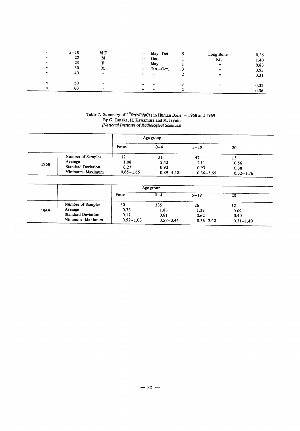| $^{\prime\prime}$<br>$^{\prime\prime}$<br>$\cdot$<br>$\pmb{\cdot}$<br>$\bullet$ | $5 - 10$<br>22<br>25<br>30<br>40 | M F<br>M<br>M<br>$^{\prime\prime}$     | May-Oct.<br>$\bullet\bullet$<br>Oct.<br>$\bullet\bullet$<br>May<br>$\bullet$<br>Jan.-Oct.<br>$\bullet$<br>$\cdots$<br>$\bullet$ | Long Bone<br>Rib<br>$\mathbf{r}$<br>$\cdots$<br>$^{\prime\prime}$ | 0.36<br>1.40<br>0.83<br>0.95<br>0.31 |
|---------------------------------------------------------------------------------|----------------------------------|----------------------------------------|---------------------------------------------------------------------------------------------------------------------------------|-------------------------------------------------------------------|--------------------------------------|
| $\bullet\bullet$<br>$^{\prime\prime}$                                           | 50<br>60                         | $^{\prime\prime}$<br>$^{\prime\prime}$ | $\bullet$<br>$^{\prime}$<br>$\bullet$<br>$\overline{\phantom{a}}$                                                               | $^{\prime\prime}$<br>$^{\prime\prime}$                            | 0.32<br>0.36                         |

## Table 7. Summary of  $90$  Sr(pCi/gCa) in Human Bone - 1968 and 1969 --<br>By G. Tanaka, H. Kawamura and M. Izyuin<br>(National Institute of Radiological Sciences)

|      |                           |               | Age group     |               |               |
|------|---------------------------|---------------|---------------|---------------|---------------|
|      |                           | Fetus         | $0 - 4$       | $5 - 19$      | 20            |
|      | Number of Samples         | 12            | 31            | 47            |               |
| 1968 | Average                   | 1.08          | 2.42          | 2.11          | 0.56          |
|      | <b>Standard Deviation</b> | 0.27          | 0.92          | 0.93          | 0.38          |
|      | Minimum-Maximum           | $0.65 - 1.65$ | $0.89 - 4.18$ | $0.36 - 5.65$ | $0.32 - 1.76$ |

|      |                    |               | Age group     |               |               |
|------|--------------------|---------------|---------------|---------------|---------------|
|      |                    | Fetus         | $_{0-4}$      | $5 - 19$      | 20            |
|      | Number of Samples  | 30            | 135           | 26            | 12            |
| 1969 | Average            | 0.73          | 1.83          | 1.37          | 0.69          |
|      | Standard Deviation | 0.17          | 0.81          | 0.62          | 0.40          |
|      | Minimum-Maximum    | $0.52 - 1.03$ | $0.58 - 3.44$ | $0.36 - 2.40$ | $0.31 - 1.40$ |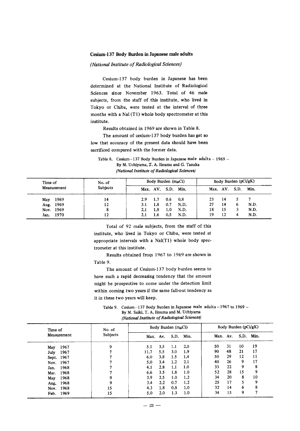#### Cesium-137 Body Burden in Japanese male adults

(National Institute of Radiological Sciences)

Cesium-137 body burden in Japanese has been determined at the National Institute of Radiological Sciences since November 1963. Total of 46 male subjects, from the staff of this institute, who lived in Tokyo or Chiba, were tested at the interval of three months with a Nal (T1) whole body spectrometer at this institute.

Results obtained in 1969 are shown in Table 8.

The amount of cesium-137 body burden has get so low that accuracy of the present data should have been sacrificed compared with the former data.

Table 8. Cesium-137 Body Burden in Japanese male adults - 1969 -By M. Uchiyama, T. A. Iinuma and G. Tanaka (National Institute of Radiological Sciences)

| Time of     | No. of          | Body Burden $(m\mu Ci)$ |     |                    |      | Body Burden (pCi/gK) |    |               |      |
|-------------|-----------------|-------------------------|-----|--------------------|------|----------------------|----|---------------|------|
| Measurement | <b>Subjects</b> |                         |     | Max. AV. S.D. Min. |      |                      |    | Max. AV. S.D. | Min. |
| May 1969    | 14              | 2.9                     | 1.7 | 0.6                | 0.8  | 23                   | 14 |               |      |
| Aug. 1969   | 12              | 3.1                     | 1.8 | 0.7                | N.D. | 27                   | 14 |               | N.D. |
| Nov. 1969   | 8               | 2.1                     | 1.8 | 1.0                | N.D. | 18                   | 15 |               | N.D. |
| Jan. 1970   | 12              | 2.1                     | 1.6 | 0.5                | N.D. | 19                   | 12 |               | N.D. |

Total of 92 male subjects, from the staff of this institute, who lived in Tokyo or Chiba, were tested at appropriate intervals with a Nal(T1) whole body spectrometer at this institute.

Results obtained from 1967 to 1969 are shown in Table 9.

The amount of Cesium-137 body burden seems to have such a rapid decreasing tendency that the amount might be prospective to come under the detection limit within coming two years if the same fall-out tendency as it in these two years will keep.

Table 9. Cesium-137 Body Burden in Japanese male adults-1967 to 1969 -By M. Saiki, T. A. Iinuma and M. Uchiyama (National Institute of Radiological Sciences)

| Time of      | No. of   | Body Burden $(m\mu Ci)$ |         |      |      | Body Burden (pCi/gK) |    |      |      |
|--------------|----------|-------------------------|---------|------|------|----------------------|----|------|------|
| Measurement  | Subjects | Max. Av.                |         | S.D. | Min. | Max. Av.             |    | S.D. | Min. |
| 1967<br>May  | 9        | 5.1                     | 3.5     | 1.1  | 2.0  | 50                   | 31 | 10   | 19   |
| 1967<br>July |          | 11.7                    | 5.5     | 3.0  | 1.9  | 90                   | 48 | 21   | 17   |
| Sept. 1967   |          | 6.0                     | 3.8     | 1.5  | 1.4  | 50                   | 29 | 12   | 11   |
| 1967<br>Nov. |          | 5.0                     | 3.4     | 1.2  | 2.1  | 40                   | 26 | 9    | 17   |
| 1968<br>Jan. |          | 4.1                     | 2.8     | 1.1  | 1.0  | 33                   | 22 | 9    | 8    |
| 1968<br>Mar. |          | 6.6                     | 3.5     | 1.8  | 1.0  | 52                   | 28 | 15   | 9    |
| 1968<br>May  | q        | 3.9                     | 2.5     | 1.0  | 1.2  | 34                   | 20 | 8    | 10   |
| 1968<br>Aug. | 9        | 3.4                     | $2.2\,$ | 0.7  | 1.2  | 25                   | 17 | S    | 9    |
| 1968<br>Nov. | 15       | 4.3                     | 1.8     | 0.8  | 1.0  | 32                   | 14 | 6    | 8    |
| 1969<br>Feb. | 15       | 5.0                     | 2.0     | 1.3  | 1.0  | 34                   | 15 | 9    | п    |